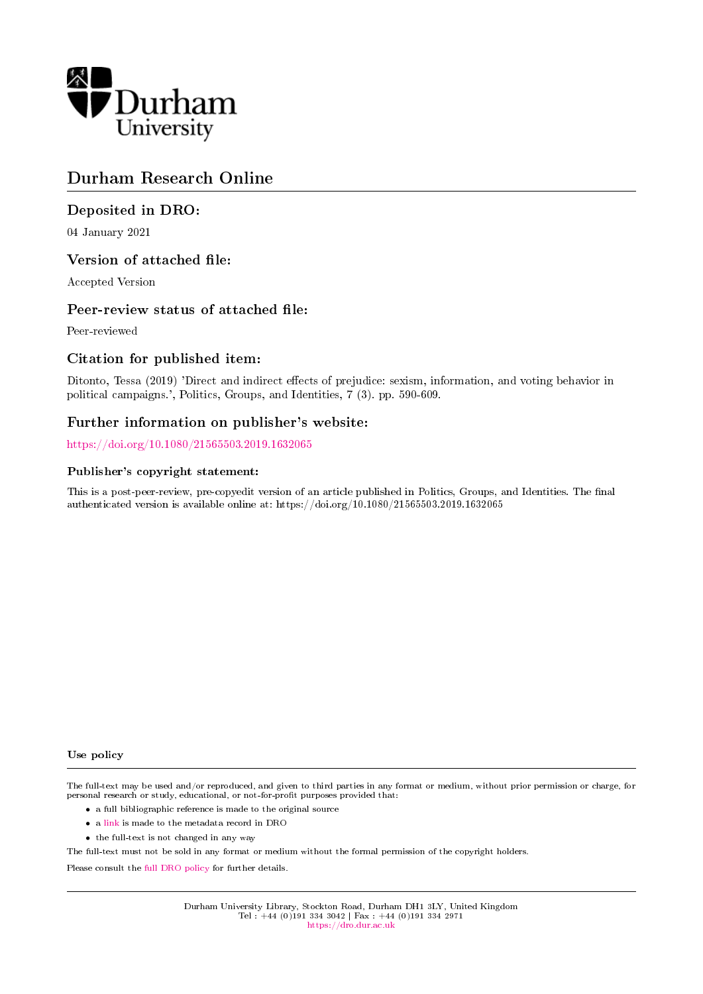

## Durham Research Online

## Deposited in DRO:

04 January 2021

## Version of attached file:

Accepted Version

## Peer-review status of attached file:

Peer-reviewed

## Citation for published item:

Ditonto, Tessa (2019) 'Direct and indirect effects of prejudice: sexism, information, and voting behavior in political campaigns.', Politics, Groups, and Identities, 7 (3). pp. 590-609.

## Further information on publisher's website:

<https://doi.org/10.1080/21565503.2019.1632065>

#### Publisher's copyright statement:

This is a post-peer-review, pre-copyedit version of an article published in Politics, Groups, and Identities. The final authenticated version is available online at: https://doi.org/10.1080/21565503.2019.1632065

#### Use policy

The full-text may be used and/or reproduced, and given to third parties in any format or medium, without prior permission or charge, for personal research or study, educational, or not-for-profit purposes provided that:

- a full bibliographic reference is made to the original source
- a [link](http://dro.dur.ac.uk/32378/) is made to the metadata record in DRO
- the full-text is not changed in any way

The full-text must not be sold in any format or medium without the formal permission of the copyright holders.

Please consult the [full DRO policy](https://dro.dur.ac.uk/policies/usepolicy.pdf) for further details.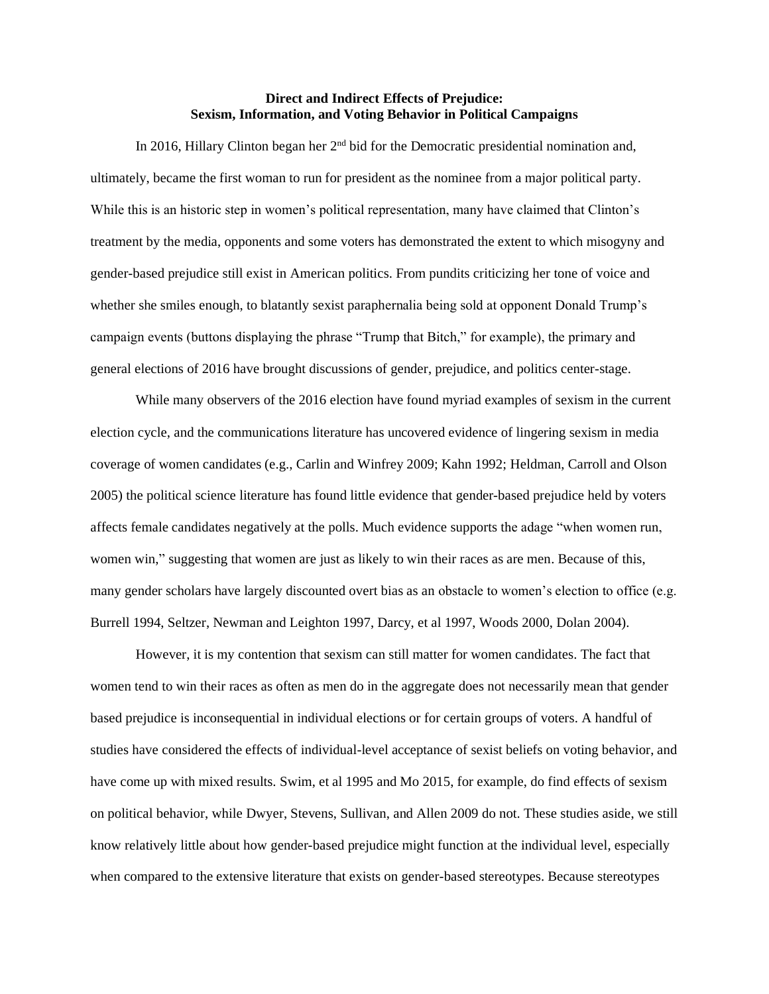#### **Direct and Indirect Effects of Prejudice: Sexism, Information, and Voting Behavior in Political Campaigns**

In 2016, Hillary Clinton began her  $2<sup>nd</sup>$  bid for the Democratic presidential nomination and, ultimately, became the first woman to run for president as the nominee from a major political party. While this is an historic step in women's political representation, many have claimed that Clinton's treatment by the media, opponents and some voters has demonstrated the extent to which misogyny and gender-based prejudice still exist in American politics. From pundits criticizing her tone of voice and whether she smiles enough, to blatantly sexist paraphernalia being sold at opponent Donald Trump's campaign events (buttons displaying the phrase "Trump that Bitch," for example), the primary and general elections of 2016 have brought discussions of gender, prejudice, and politics center-stage.

While many observers of the 2016 election have found myriad examples of sexism in the current election cycle, and the communications literature has uncovered evidence of lingering sexism in media coverage of women candidates (e.g., Carlin and Winfrey 2009; Kahn 1992; Heldman, Carroll and Olson 2005) the political science literature has found little evidence that gender-based prejudice held by voters affects female candidates negatively at the polls. Much evidence supports the adage "when women run, women win," suggesting that women are just as likely to win their races as are men. Because of this, many gender scholars have largely discounted overt bias as an obstacle to women's election to office (e.g. Burrell 1994, Seltzer, Newman and Leighton 1997, Darcy, et al 1997, Woods 2000, Dolan 2004).

However, it is my contention that sexism can still matter for women candidates. The fact that women tend to win their races as often as men do in the aggregate does not necessarily mean that gender based prejudice is inconsequential in individual elections or for certain groups of voters. A handful of studies have considered the effects of individual-level acceptance of sexist beliefs on voting behavior, and have come up with mixed results. Swim, et al 1995 and Mo 2015, for example, do find effects of sexism on political behavior, while Dwyer, Stevens, Sullivan, and Allen 2009 do not. These studies aside, we still know relatively little about how gender-based prejudice might function at the individual level, especially when compared to the extensive literature that exists on gender-based stereotypes. Because stereotypes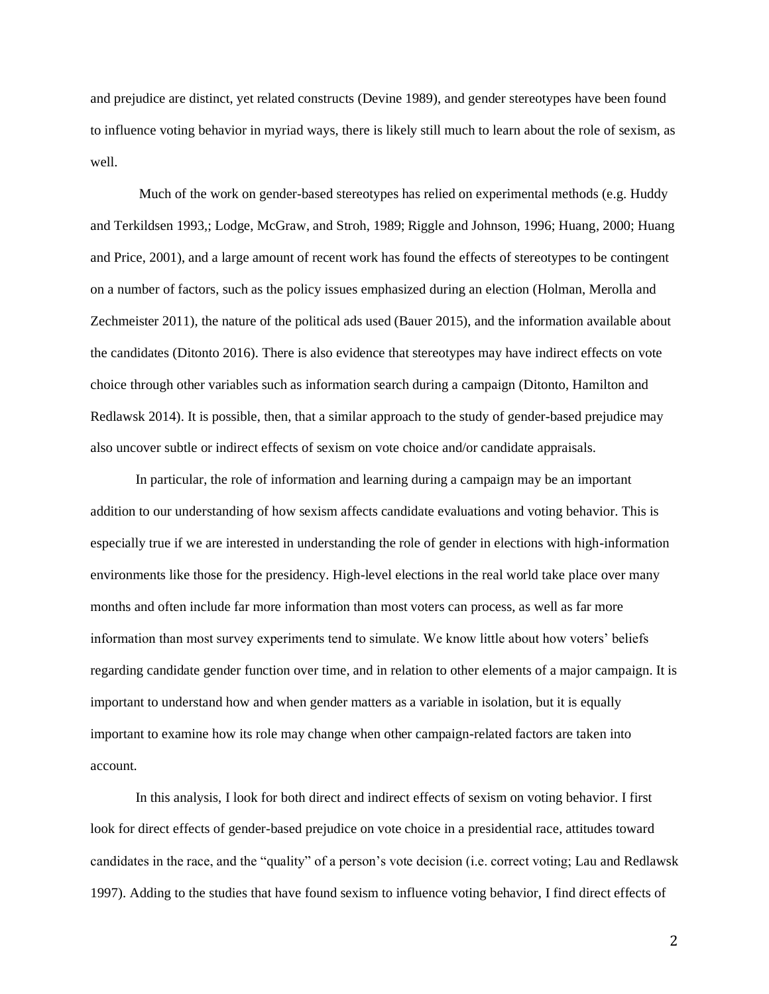and prejudice are distinct, yet related constructs (Devine 1989), and gender stereotypes have been found to influence voting behavior in myriad ways, there is likely still much to learn about the role of sexism, as well.

Much of the work on gender-based stereotypes has relied on experimental methods (e.g. Huddy and Terkildsen 1993,; Lodge, McGraw, and Stroh, 1989; Riggle and Johnson, 1996; Huang, 2000; Huang and Price, 2001), and a large amount of recent work has found the effects of stereotypes to be contingent on a number of factors, such as the policy issues emphasized during an election (Holman, Merolla and Zechmeister 2011), the nature of the political ads used (Bauer 2015), and the information available about the candidates (Ditonto 2016). There is also evidence that stereotypes may have indirect effects on vote choice through other variables such as information search during a campaign (Ditonto, Hamilton and Redlawsk 2014). It is possible, then, that a similar approach to the study of gender-based prejudice may also uncover subtle or indirect effects of sexism on vote choice and/or candidate appraisals.

In particular, the role of information and learning during a campaign may be an important addition to our understanding of how sexism affects candidate evaluations and voting behavior. This is especially true if we are interested in understanding the role of gender in elections with high-information environments like those for the presidency. High-level elections in the real world take place over many months and often include far more information than most voters can process, as well as far more information than most survey experiments tend to simulate. We know little about how voters' beliefs regarding candidate gender function over time, and in relation to other elements of a major campaign. It is important to understand how and when gender matters as a variable in isolation, but it is equally important to examine how its role may change when other campaign-related factors are taken into account.

In this analysis, I look for both direct and indirect effects of sexism on voting behavior. I first look for direct effects of gender-based prejudice on vote choice in a presidential race, attitudes toward candidates in the race, and the "quality" of a person's vote decision (i.e. correct voting; Lau and Redlawsk 1997). Adding to the studies that have found sexism to influence voting behavior, I find direct effects of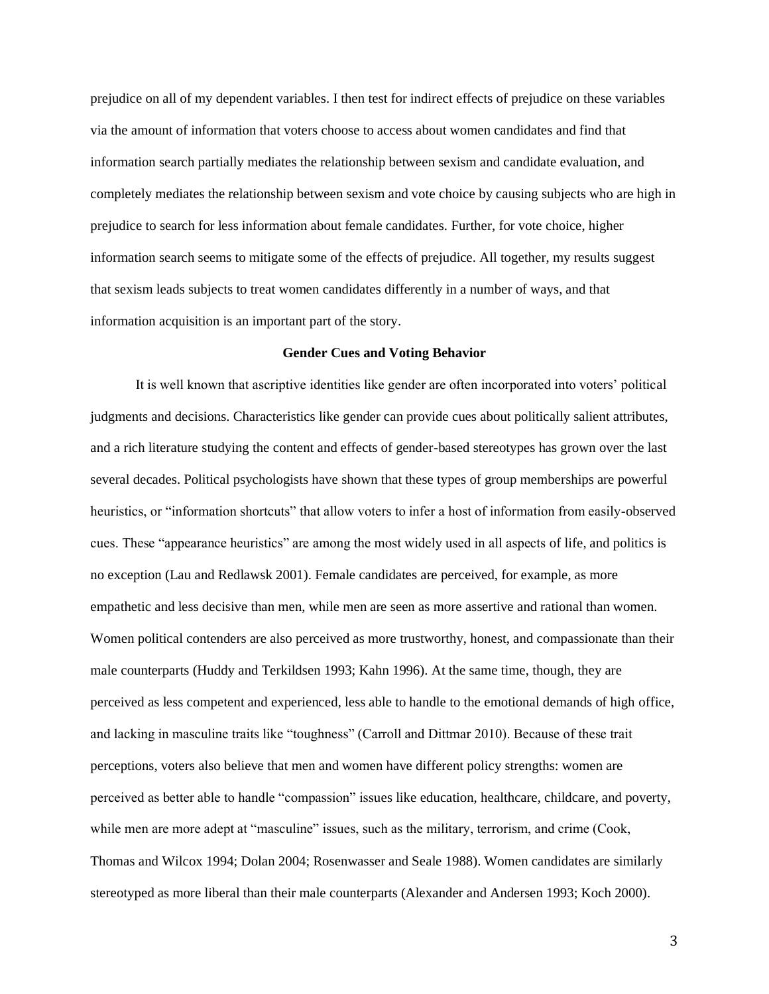prejudice on all of my dependent variables. I then test for indirect effects of prejudice on these variables via the amount of information that voters choose to access about women candidates and find that information search partially mediates the relationship between sexism and candidate evaluation, and completely mediates the relationship between sexism and vote choice by causing subjects who are high in prejudice to search for less information about female candidates. Further, for vote choice, higher information search seems to mitigate some of the effects of prejudice. All together, my results suggest that sexism leads subjects to treat women candidates differently in a number of ways, and that information acquisition is an important part of the story.

#### **Gender Cues and Voting Behavior**

It is well known that ascriptive identities like gender are often incorporated into voters' political judgments and decisions. Characteristics like gender can provide cues about politically salient attributes, and a rich literature studying the content and effects of gender-based stereotypes has grown over the last several decades. Political psychologists have shown that these types of group memberships are powerful heuristics, or "information shortcuts" that allow voters to infer a host of information from easily-observed cues. These "appearance heuristics" are among the most widely used in all aspects of life, and politics is no exception (Lau and Redlawsk 2001). Female candidates are perceived, for example, as more empathetic and less decisive than men, while men are seen as more assertive and rational than women. Women political contenders are also perceived as more trustworthy, honest, and compassionate than their male counterparts (Huddy and Terkildsen 1993; Kahn 1996). At the same time, though, they are perceived as less competent and experienced, less able to handle to the emotional demands of high office, and lacking in masculine traits like "toughness" (Carroll and Dittmar 2010). Because of these trait perceptions, voters also believe that men and women have different policy strengths: women are perceived as better able to handle "compassion" issues like education, healthcare, childcare, and poverty, while men are more adept at "masculine" issues, such as the military, terrorism, and crime (Cook, Thomas and Wilcox 1994; Dolan 2004; Rosenwasser and Seale 1988). Women candidates are similarly stereotyped as more liberal than their male counterparts (Alexander and Andersen 1993; Koch 2000).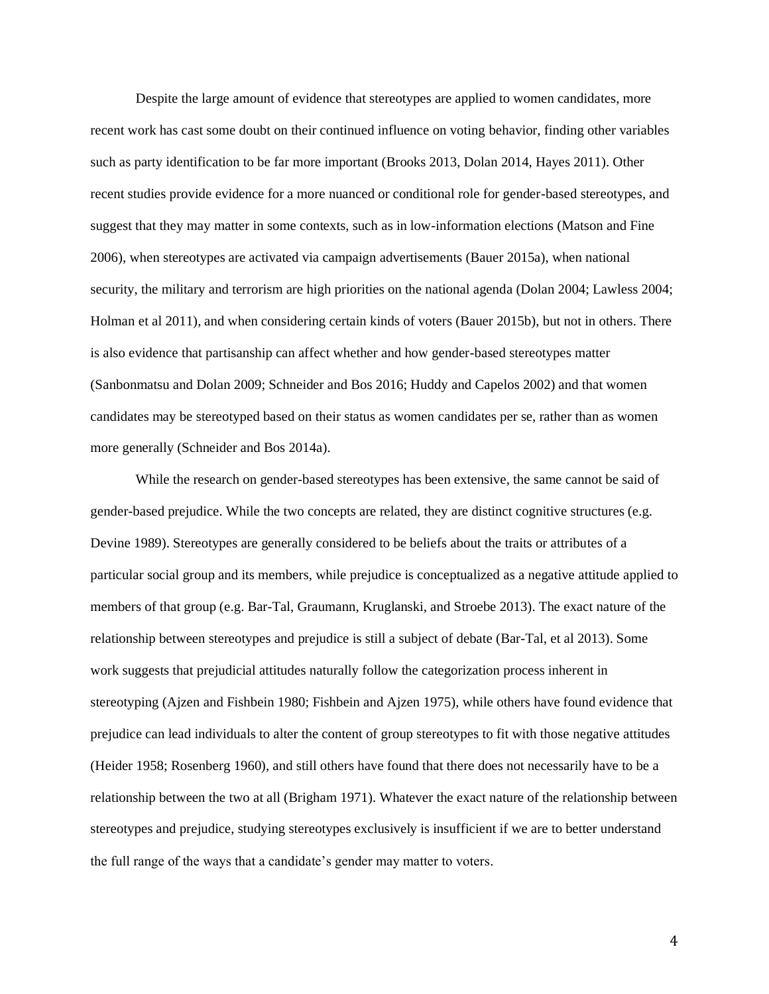Despite the large amount of evidence that stereotypes are applied to women candidates, more recent work has cast some doubt on their continued influence on voting behavior, finding other variables such as party identification to be far more important (Brooks 2013, Dolan 2014, Hayes 2011). Other recent studies provide evidence for a more nuanced or conditional role for gender-based stereotypes, and suggest that they may matter in some contexts, such as in low-information elections (Matson and Fine 2006), when stereotypes are activated via campaign advertisements (Bauer 2015a), when national security, the military and terrorism are high priorities on the national agenda (Dolan 2004; Lawless 2004; Holman et al 2011), and when considering certain kinds of voters (Bauer 2015b), but not in others. There is also evidence that partisanship can affect whether and how gender-based stereotypes matter (Sanbonmatsu and Dolan 2009; Schneider and Bos 2016; Huddy and Capelos 2002) and that women candidates may be stereotyped based on their status as women candidates per se, rather than as women more generally (Schneider and Bos 2014a).

While the research on gender-based stereotypes has been extensive, the same cannot be said of gender-based prejudice. While the two concepts are related, they are distinct cognitive structures (e.g. Devine 1989). Stereotypes are generally considered to be beliefs about the traits or attributes of a particular social group and its members, while prejudice is conceptualized as a negative attitude applied to members of that group (e.g. Bar-Tal, Graumann, Kruglanski, and Stroebe 2013). The exact nature of the relationship between stereotypes and prejudice is still a subject of debate (Bar-Tal, et al 2013). Some work suggests that prejudicial attitudes naturally follow the categorization process inherent in stereotyping (Ajzen and Fishbein 1980; Fishbein and Ajzen 1975), while others have found evidence that prejudice can lead individuals to alter the content of group stereotypes to fit with those negative attitudes (Heider 1958; Rosenberg 1960), and still others have found that there does not necessarily have to be a relationship between the two at all (Brigham 1971). Whatever the exact nature of the relationship between stereotypes and prejudice, studying stereotypes exclusively is insufficient if we are to better understand the full range of the ways that a candidate's gender may matter to voters.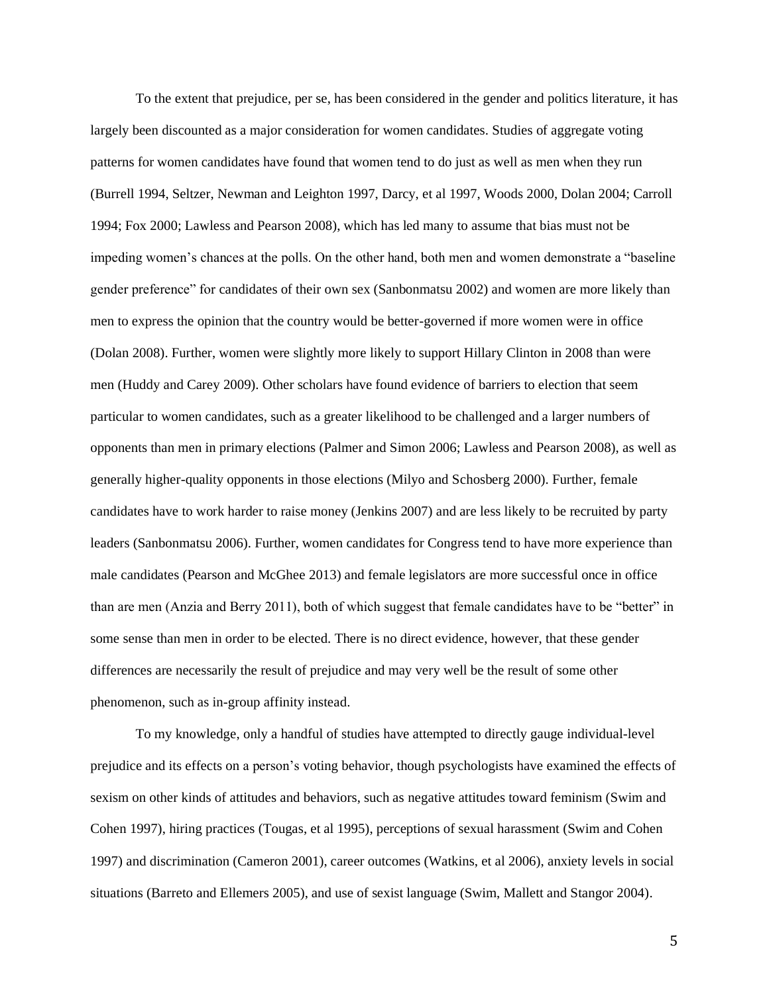To the extent that prejudice, per se, has been considered in the gender and politics literature, it has largely been discounted as a major consideration for women candidates. Studies of aggregate voting patterns for women candidates have found that women tend to do just as well as men when they run (Burrell 1994, Seltzer, Newman and Leighton 1997, Darcy, et al 1997, Woods 2000, Dolan 2004; Carroll 1994; Fox 2000; Lawless and Pearson 2008), which has led many to assume that bias must not be impeding women's chances at the polls. On the other hand, both men and women demonstrate a "baseline gender preference" for candidates of their own sex (Sanbonmatsu 2002) and women are more likely than men to express the opinion that the country would be better-governed if more women were in office (Dolan 2008). Further, women were slightly more likely to support Hillary Clinton in 2008 than were men (Huddy and Carey 2009). Other scholars have found evidence of barriers to election that seem particular to women candidates, such as a greater likelihood to be challenged and a larger numbers of opponents than men in primary elections (Palmer and Simon 2006; Lawless and Pearson 2008), as well as generally higher-quality opponents in those elections (Milyo and Schosberg 2000). Further, female candidates have to work harder to raise money (Jenkins 2007) and are less likely to be recruited by party leaders (Sanbonmatsu 2006). Further, women candidates for Congress tend to have more experience than male candidates (Pearson and McGhee 2013) and female legislators are more successful once in office than are men (Anzia and Berry 2011), both of which suggest that female candidates have to be "better" in some sense than men in order to be elected. There is no direct evidence, however, that these gender differences are necessarily the result of prejudice and may very well be the result of some other phenomenon, such as in-group affinity instead.

To my knowledge, only a handful of studies have attempted to directly gauge individual-level prejudice and its effects on a person's voting behavior, though psychologists have examined the effects of sexism on other kinds of attitudes and behaviors, such as negative attitudes toward feminism (Swim and Cohen 1997), hiring practices (Tougas, et al 1995), perceptions of sexual harassment (Swim and Cohen 1997) and discrimination (Cameron 2001), career outcomes (Watkins, et al 2006), anxiety levels in social situations (Barreto and Ellemers 2005), and use of sexist language (Swim, Mallett and Stangor 2004).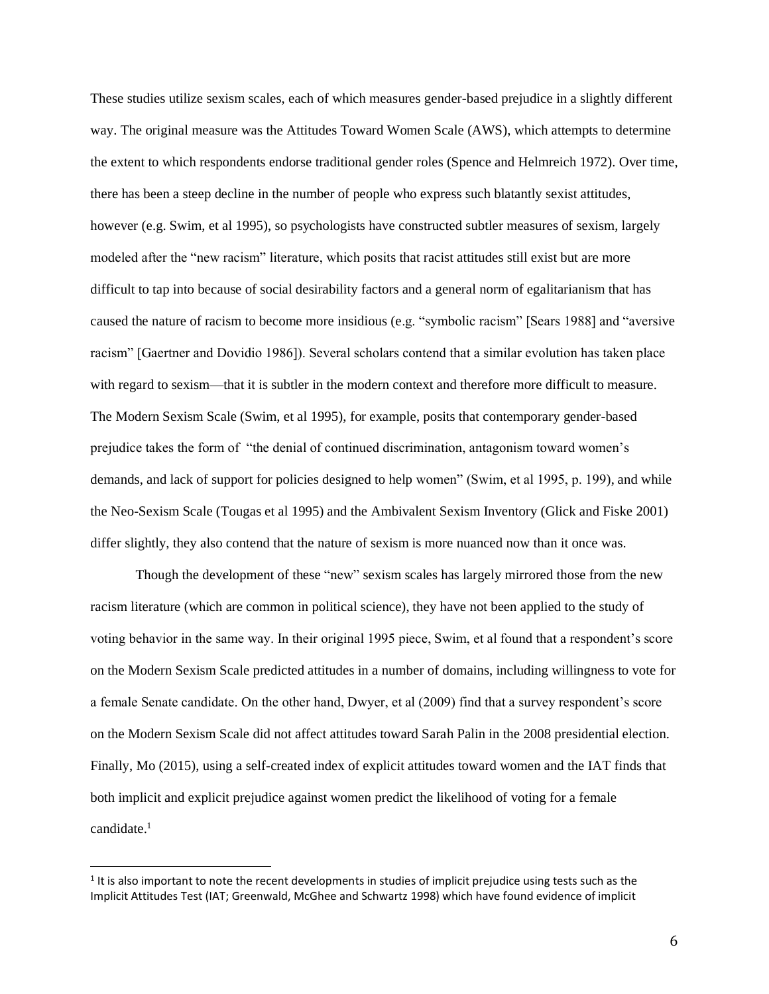These studies utilize sexism scales, each of which measures gender-based prejudice in a slightly different way. The original measure was the Attitudes Toward Women Scale (AWS), which attempts to determine the extent to which respondents endorse traditional gender roles (Spence and Helmreich 1972). Over time, there has been a steep decline in the number of people who express such blatantly sexist attitudes, however (e.g. Swim, et al 1995), so psychologists have constructed subtler measures of sexism, largely modeled after the "new racism" literature, which posits that racist attitudes still exist but are more difficult to tap into because of social desirability factors and a general norm of egalitarianism that has caused the nature of racism to become more insidious (e.g. "symbolic racism" [Sears 1988] and "aversive racism" [Gaertner and Dovidio 1986]). Several scholars contend that a similar evolution has taken place with regard to sexism—that it is subtler in the modern context and therefore more difficult to measure. The Modern Sexism Scale (Swim, et al 1995), for example, posits that contemporary gender-based prejudice takes the form of "the denial of continued discrimination, antagonism toward women's demands, and lack of support for policies designed to help women" (Swim, et al 1995, p. 199), and while the Neo-Sexism Scale (Tougas et al 1995) and the Ambivalent Sexism Inventory (Glick and Fiske 2001) differ slightly, they also contend that the nature of sexism is more nuanced now than it once was.

Though the development of these "new" sexism scales has largely mirrored those from the new racism literature (which are common in political science), they have not been applied to the study of voting behavior in the same way. In their original 1995 piece, Swim, et al found that a respondent's score on the Modern Sexism Scale predicted attitudes in a number of domains, including willingness to vote for a female Senate candidate. On the other hand, Dwyer, et al (2009) find that a survey respondent's score on the Modern Sexism Scale did not affect attitudes toward Sarah Palin in the 2008 presidential election. Finally, Mo (2015), using a self-created index of explicit attitudes toward women and the IAT finds that both implicit and explicit prejudice against women predict the likelihood of voting for a female candidate.<sup>1</sup>

<sup>&</sup>lt;sup>1</sup> It is also important to note the recent developments in studies of implicit prejudice using tests such as the Implicit Attitudes Test (IAT; Greenwald, McGhee and Schwartz 1998) which have found evidence of implicit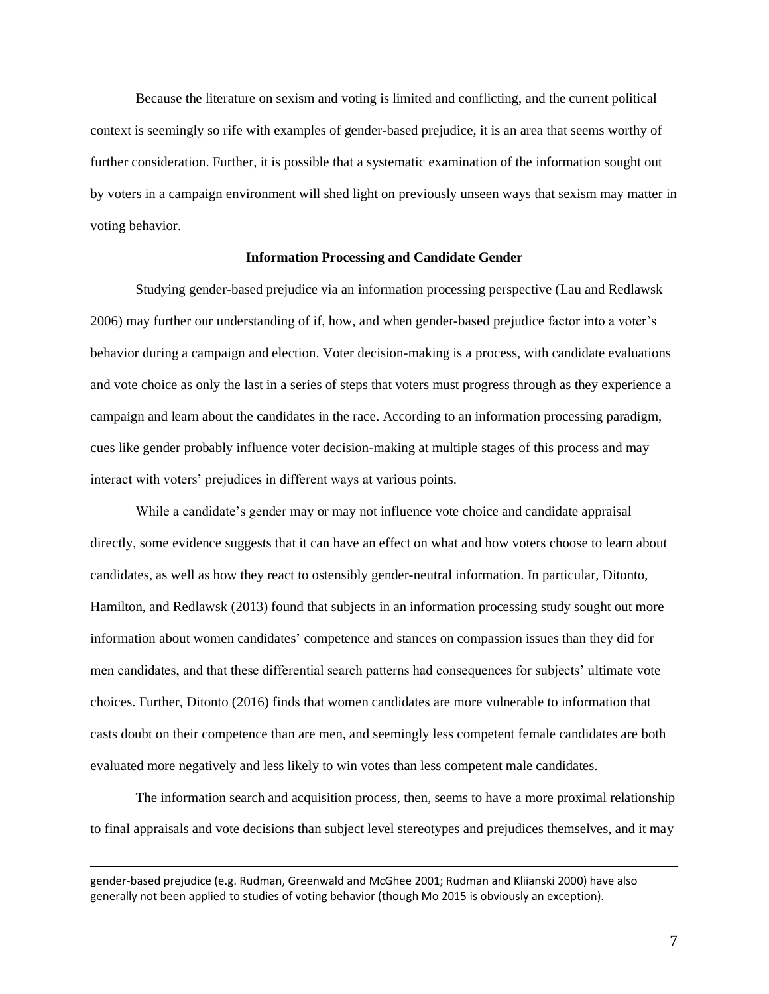Because the literature on sexism and voting is limited and conflicting, and the current political context is seemingly so rife with examples of gender-based prejudice, it is an area that seems worthy of further consideration. Further, it is possible that a systematic examination of the information sought out by voters in a campaign environment will shed light on previously unseen ways that sexism may matter in voting behavior.

#### **Information Processing and Candidate Gender**

Studying gender-based prejudice via an information processing perspective (Lau and Redlawsk 2006) may further our understanding of if, how, and when gender-based prejudice factor into a voter's behavior during a campaign and election. Voter decision-making is a process, with candidate evaluations and vote choice as only the last in a series of steps that voters must progress through as they experience a campaign and learn about the candidates in the race. According to an information processing paradigm, cues like gender probably influence voter decision-making at multiple stages of this process and may interact with voters' prejudices in different ways at various points.

While a candidate's gender may or may not influence vote choice and candidate appraisal directly, some evidence suggests that it can have an effect on what and how voters choose to learn about candidates, as well as how they react to ostensibly gender-neutral information. In particular, Ditonto, Hamilton, and Redlawsk (2013) found that subjects in an information processing study sought out more information about women candidates' competence and stances on compassion issues than they did for men candidates, and that these differential search patterns had consequences for subjects' ultimate vote choices. Further, Ditonto (2016) finds that women candidates are more vulnerable to information that casts doubt on their competence than are men, and seemingly less competent female candidates are both evaluated more negatively and less likely to win votes than less competent male candidates.

The information search and acquisition process, then, seems to have a more proximal relationship to final appraisals and vote decisions than subject level stereotypes and prejudices themselves, and it may

gender-based prejudice (e.g. Rudman, Greenwald and McGhee 2001; Rudman and Kliianski 2000) have also generally not been applied to studies of voting behavior (though Mo 2015 is obviously an exception).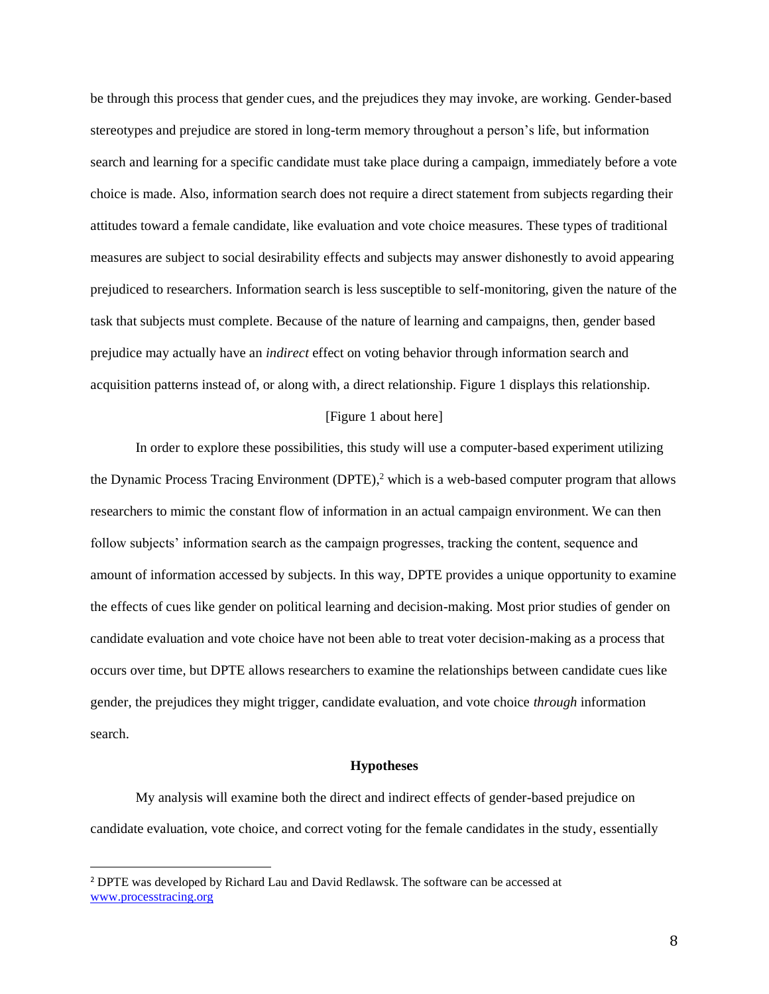be through this process that gender cues, and the prejudices they may invoke, are working. Gender-based stereotypes and prejudice are stored in long-term memory throughout a person's life, but information search and learning for a specific candidate must take place during a campaign, immediately before a vote choice is made. Also, information search does not require a direct statement from subjects regarding their attitudes toward a female candidate, like evaluation and vote choice measures. These types of traditional measures are subject to social desirability effects and subjects may answer dishonestly to avoid appearing prejudiced to researchers. Information search is less susceptible to self-monitoring, given the nature of the task that subjects must complete. Because of the nature of learning and campaigns, then, gender based prejudice may actually have an *indirect* effect on voting behavior through information search and acquisition patterns instead of, or along with, a direct relationship. Figure 1 displays this relationship.

#### [Figure 1 about here]

In order to explore these possibilities, this study will use a computer-based experiment utilizing the Dynamic Process Tracing Environment  $(DPTE)$ ,<sup>2</sup> which is a web-based computer program that allows researchers to mimic the constant flow of information in an actual campaign environment. We can then follow subjects' information search as the campaign progresses, tracking the content, sequence and amount of information accessed by subjects. In this way, DPTE provides a unique opportunity to examine the effects of cues like gender on political learning and decision-making. Most prior studies of gender on candidate evaluation and vote choice have not been able to treat voter decision-making as a process that occurs over time, but DPTE allows researchers to examine the relationships between candidate cues like gender, the prejudices they might trigger, candidate evaluation, and vote choice *through* information search.

#### **Hypotheses**

My analysis will examine both the direct and indirect effects of gender-based prejudice on candidate evaluation, vote choice, and correct voting for the female candidates in the study, essentially

<sup>2</sup> DPTE was developed by Richard Lau and David Redlawsk. The software can be accessed at [www.processtracing.org](http://www.processtracing.org/)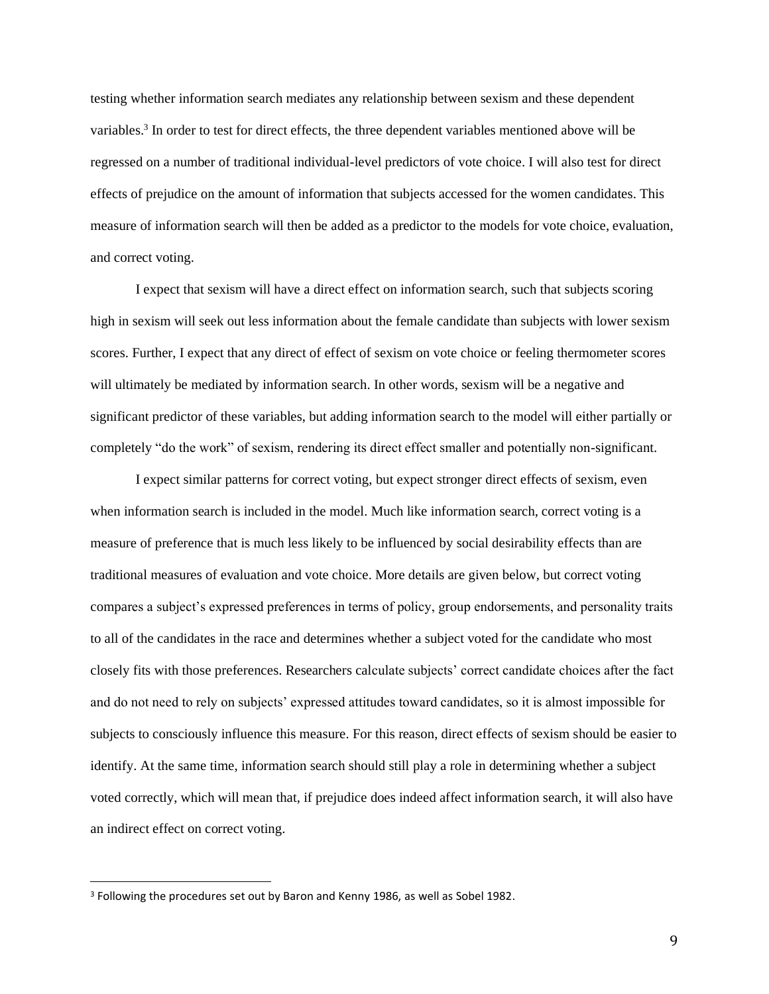testing whether information search mediates any relationship between sexism and these dependent variables.<sup>3</sup> In order to test for direct effects, the three dependent variables mentioned above will be regressed on a number of traditional individual-level predictors of vote choice. I will also test for direct effects of prejudice on the amount of information that subjects accessed for the women candidates. This measure of information search will then be added as a predictor to the models for vote choice, evaluation, and correct voting.

I expect that sexism will have a direct effect on information search, such that subjects scoring high in sexism will seek out less information about the female candidate than subjects with lower sexism scores. Further, I expect that any direct of effect of sexism on vote choice or feeling thermometer scores will ultimately be mediated by information search. In other words, sexism will be a negative and significant predictor of these variables, but adding information search to the model will either partially or completely "do the work" of sexism, rendering its direct effect smaller and potentially non-significant.

I expect similar patterns for correct voting, but expect stronger direct effects of sexism, even when information search is included in the model. Much like information search, correct voting is a measure of preference that is much less likely to be influenced by social desirability effects than are traditional measures of evaluation and vote choice. More details are given below, but correct voting compares a subject's expressed preferences in terms of policy, group endorsements, and personality traits to all of the candidates in the race and determines whether a subject voted for the candidate who most closely fits with those preferences. Researchers calculate subjects' correct candidate choices after the fact and do not need to rely on subjects' expressed attitudes toward candidates, so it is almost impossible for subjects to consciously influence this measure. For this reason, direct effects of sexism should be easier to identify. At the same time, information search should still play a role in determining whether a subject voted correctly, which will mean that, if prejudice does indeed affect information search, it will also have an indirect effect on correct voting.

<sup>&</sup>lt;sup>3</sup> Following the procedures set out by Baron and Kenny 1986, as well as Sobel 1982.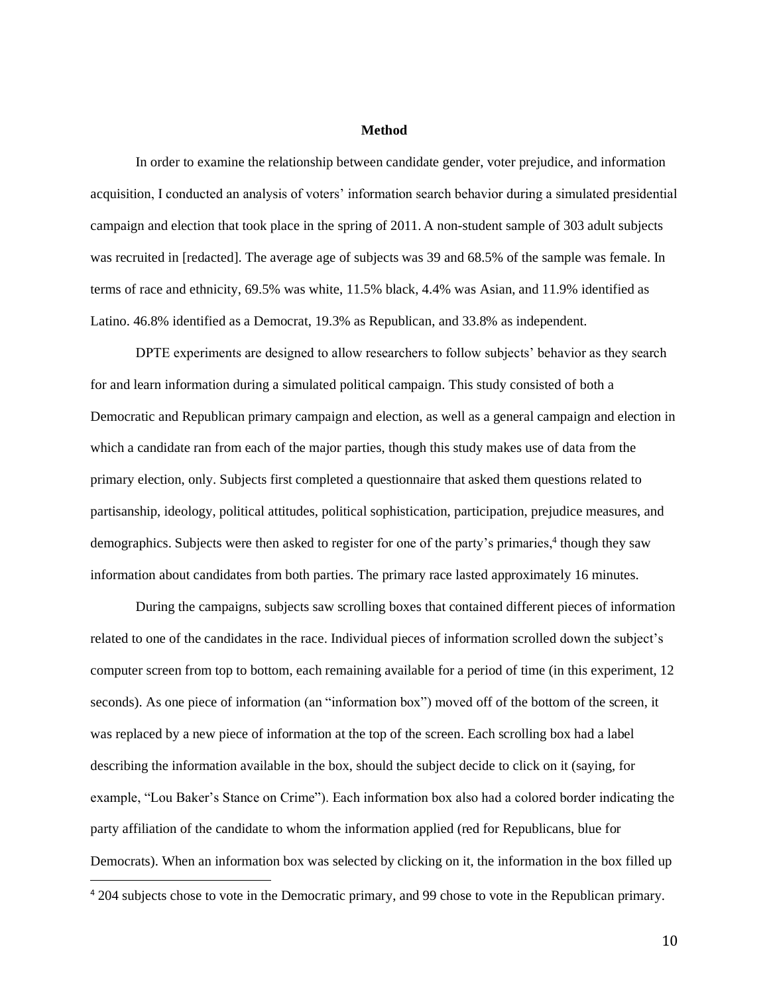#### **Method**

In order to examine the relationship between candidate gender, voter prejudice, and information acquisition, I conducted an analysis of voters' information search behavior during a simulated presidential campaign and election that took place in the spring of 2011. A non-student sample of 303 adult subjects was recruited in [redacted]. The average age of subjects was 39 and 68.5% of the sample was female. In terms of race and ethnicity, 69.5% was white, 11.5% black, 4.4% was Asian, and 11.9% identified as Latino. 46.8% identified as a Democrat, 19.3% as Republican, and 33.8% as independent.

DPTE experiments are designed to allow researchers to follow subjects' behavior as they search for and learn information during a simulated political campaign. This study consisted of both a Democratic and Republican primary campaign and election, as well as a general campaign and election in which a candidate ran from each of the major parties, though this study makes use of data from the primary election, only. Subjects first completed a questionnaire that asked them questions related to partisanship, ideology, political attitudes, political sophistication, participation, prejudice measures, and demographics. Subjects were then asked to register for one of the party's primaries,<sup>4</sup> though they saw information about candidates from both parties. The primary race lasted approximately 16 minutes.

During the campaigns, subjects saw scrolling boxes that contained different pieces of information related to one of the candidates in the race. Individual pieces of information scrolled down the subject's computer screen from top to bottom, each remaining available for a period of time (in this experiment, 12 seconds). As one piece of information (an "information box") moved off of the bottom of the screen, it was replaced by a new piece of information at the top of the screen. Each scrolling box had a label describing the information available in the box, should the subject decide to click on it (saying, for example, "Lou Baker's Stance on Crime"). Each information box also had a colored border indicating the party affiliation of the candidate to whom the information applied (red for Republicans, blue for Democrats). When an information box was selected by clicking on it, the information in the box filled up

<sup>4</sup> 204 subjects chose to vote in the Democratic primary, and 99 chose to vote in the Republican primary.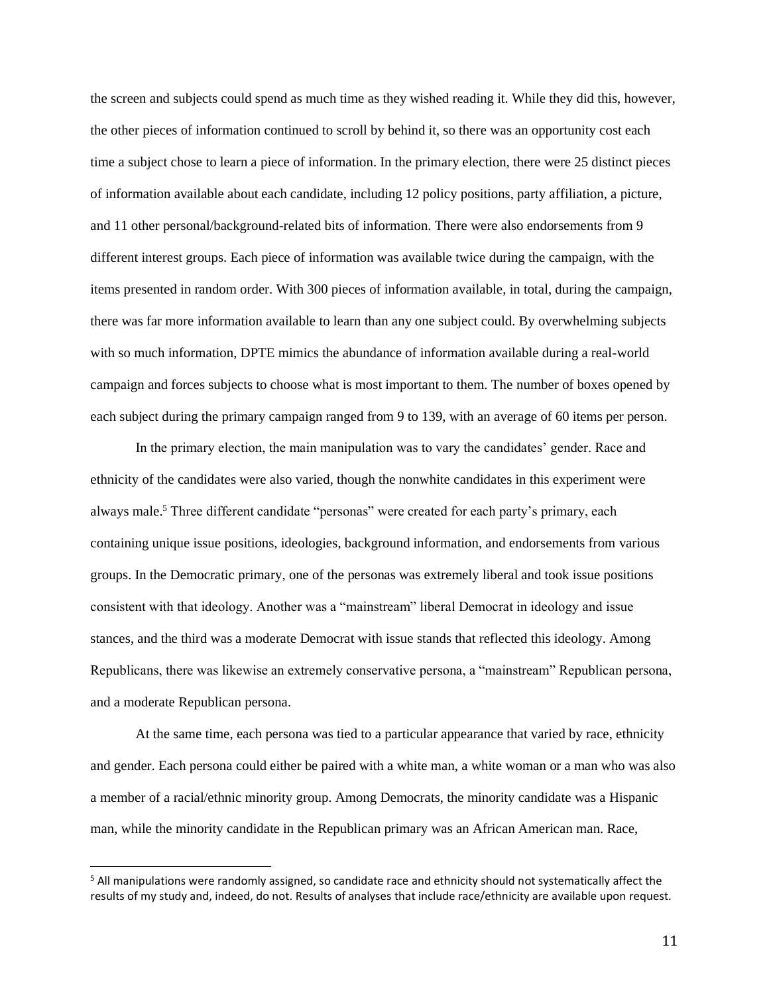the screen and subjects could spend as much time as they wished reading it. While they did this, however, the other pieces of information continued to scroll by behind it, so there was an opportunity cost each time a subject chose to learn a piece of information. In the primary election, there were 25 distinct pieces of information available about each candidate, including 12 policy positions, party affiliation, a picture, and 11 other personal/background-related bits of information. There were also endorsements from 9 different interest groups. Each piece of information was available twice during the campaign, with the items presented in random order. With 300 pieces of information available, in total, during the campaign, there was far more information available to learn than any one subject could. By overwhelming subjects with so much information, DPTE mimics the abundance of information available during a real-world campaign and forces subjects to choose what is most important to them. The number of boxes opened by each subject during the primary campaign ranged from 9 to 139, with an average of 60 items per person.

In the primary election, the main manipulation was to vary the candidates' gender. Race and ethnicity of the candidates were also varied, though the nonwhite candidates in this experiment were always male.<sup>5</sup> Three different candidate "personas" were created for each party's primary, each containing unique issue positions, ideologies, background information, and endorsements from various groups. In the Democratic primary, one of the personas was extremely liberal and took issue positions consistent with that ideology. Another was a "mainstream" liberal Democrat in ideology and issue stances, and the third was a moderate Democrat with issue stands that reflected this ideology. Among Republicans, there was likewise an extremely conservative persona, a "mainstream" Republican persona, and a moderate Republican persona.

At the same time, each persona was tied to a particular appearance that varied by race, ethnicity and gender. Each persona could either be paired with a white man, a white woman or a man who was also a member of a racial/ethnic minority group. Among Democrats, the minority candidate was a Hispanic man, while the minority candidate in the Republican primary was an African American man. Race,

<sup>5</sup> All manipulations were randomly assigned, so candidate race and ethnicity should not systematically affect the results of my study and, indeed, do not. Results of analyses that include race/ethnicity are available upon request.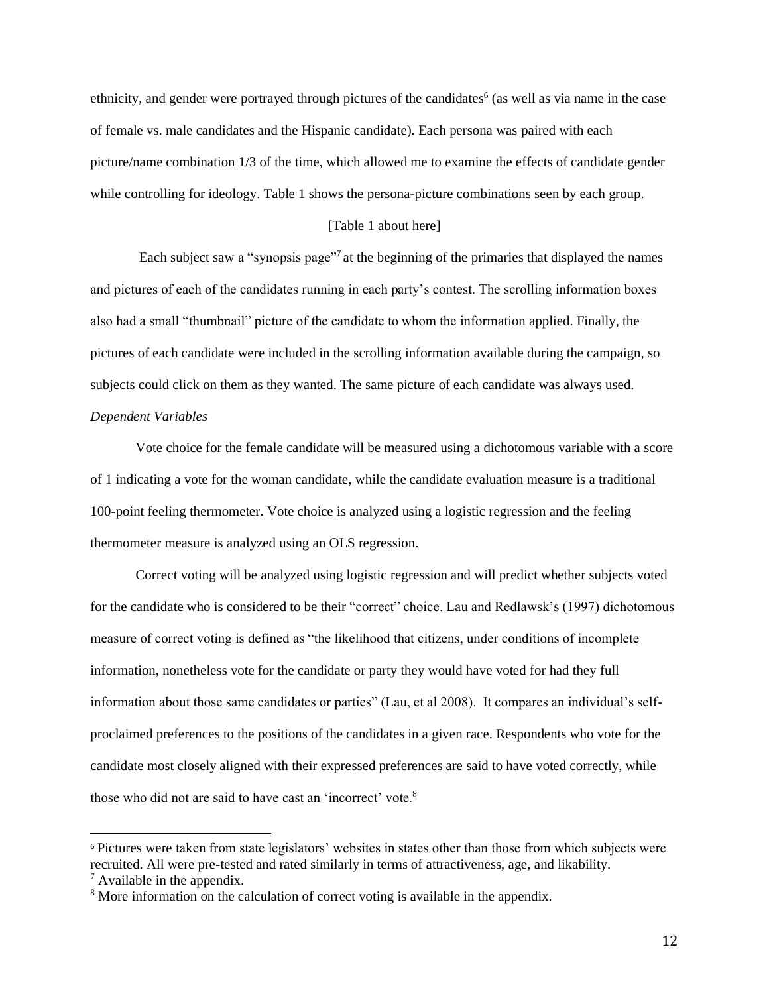ethnicity, and gender were portrayed through pictures of the candidates<sup>6</sup> (as well as via name in the case of female vs. male candidates and the Hispanic candidate). Each persona was paired with each picture/name combination 1/3 of the time, which allowed me to examine the effects of candidate gender while controlling for ideology. Table 1 shows the persona-picture combinations seen by each group.

#### [Table 1 about here]

Each subject saw a "synopsis page"<sup>7</sup> at the beginning of the primaries that displayed the names and pictures of each of the candidates running in each party's contest. The scrolling information boxes also had a small "thumbnail" picture of the candidate to whom the information applied. Finally, the pictures of each candidate were included in the scrolling information available during the campaign, so subjects could click on them as they wanted. The same picture of each candidate was always used. *Dependent Variables*

Vote choice for the female candidate will be measured using a dichotomous variable with a score of 1 indicating a vote for the woman candidate, while the candidate evaluation measure is a traditional 100-point feeling thermometer. Vote choice is analyzed using a logistic regression and the feeling thermometer measure is analyzed using an OLS regression.

Correct voting will be analyzed using logistic regression and will predict whether subjects voted for the candidate who is considered to be their "correct" choice. Lau and Redlawsk's (1997) dichotomous measure of correct voting is defined as "the likelihood that citizens, under conditions of incomplete information, nonetheless vote for the candidate or party they would have voted for had they full information about those same candidates or parties" (Lau, et al 2008). It compares an individual's selfproclaimed preferences to the positions of the candidates in a given race. Respondents who vote for the candidate most closely aligned with their expressed preferences are said to have voted correctly, while those who did not are said to have cast an 'incorrect' vote.<sup>8</sup>

<sup>6</sup> Pictures were taken from state legislators' websites in states other than those from which subjects were recruited. All were pre-tested and rated similarly in terms of attractiveness, age, and likability.

<sup>7</sup> Available in the appendix.

<sup>&</sup>lt;sup>8</sup> More information on the calculation of correct voting is available in the appendix.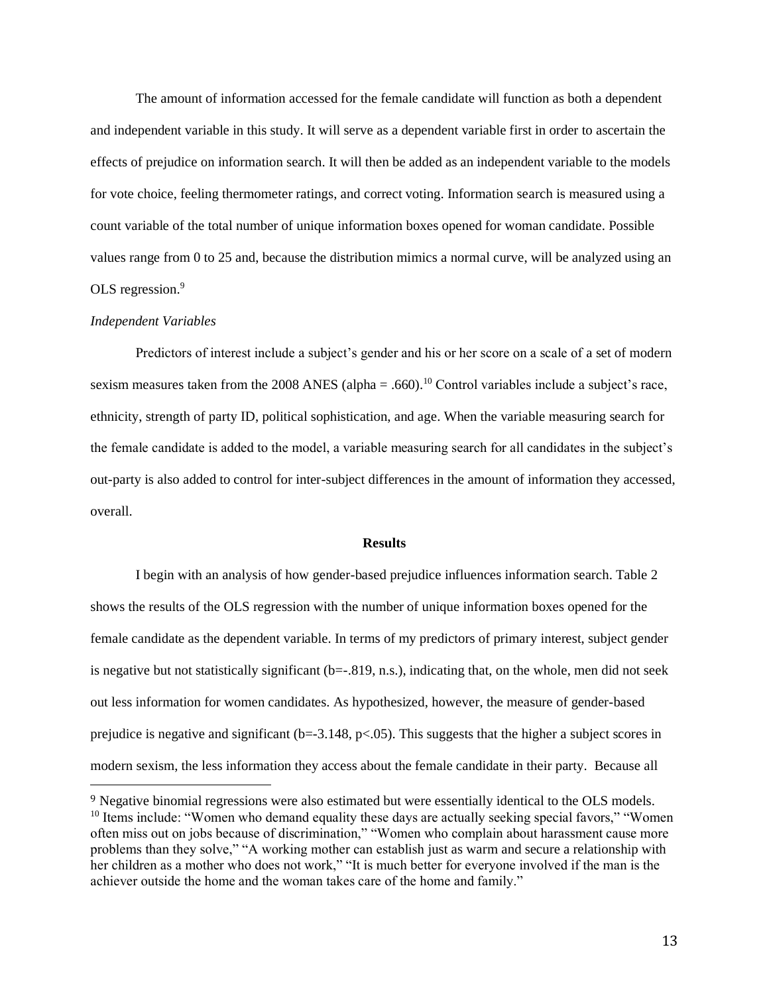The amount of information accessed for the female candidate will function as both a dependent and independent variable in this study. It will serve as a dependent variable first in order to ascertain the effects of prejudice on information search. It will then be added as an independent variable to the models for vote choice, feeling thermometer ratings, and correct voting. Information search is measured using a count variable of the total number of unique information boxes opened for woman candidate. Possible values range from 0 to 25 and, because the distribution mimics a normal curve, will be analyzed using an OLS regression.<sup>9</sup>

#### *Independent Variables*

Predictors of interest include a subject's gender and his or her score on a scale of a set of modern sexism measures taken from the 2008 ANES (alpha = .660).<sup>10</sup> Control variables include a subject's race, ethnicity, strength of party ID, political sophistication, and age. When the variable measuring search for the female candidate is added to the model, a variable measuring search for all candidates in the subject's out-party is also added to control for inter-subject differences in the amount of information they accessed, overall.

#### **Results**

I begin with an analysis of how gender-based prejudice influences information search. Table 2 shows the results of the OLS regression with the number of unique information boxes opened for the female candidate as the dependent variable. In terms of my predictors of primary interest, subject gender is negative but not statistically significant  $(b=-.819, n.s.)$ , indicating that, on the whole, men did not seek out less information for women candidates. As hypothesized, however, the measure of gender-based prejudice is negative and significant (b=-3.148, p<.05). This suggests that the higher a subject scores in modern sexism, the less information they access about the female candidate in their party. Because all

<sup>9</sup> Negative binomial regressions were also estimated but were essentially identical to the OLS models. <sup>10</sup> Items include: "Women who demand equality these days are actually seeking special favors," "Women" often miss out on jobs because of discrimination," "Women who complain about harassment cause more problems than they solve," "A working mother can establish just as warm and secure a relationship with her children as a mother who does not work," "It is much better for everyone involved if the man is the achiever outside the home and the woman takes care of the home and family."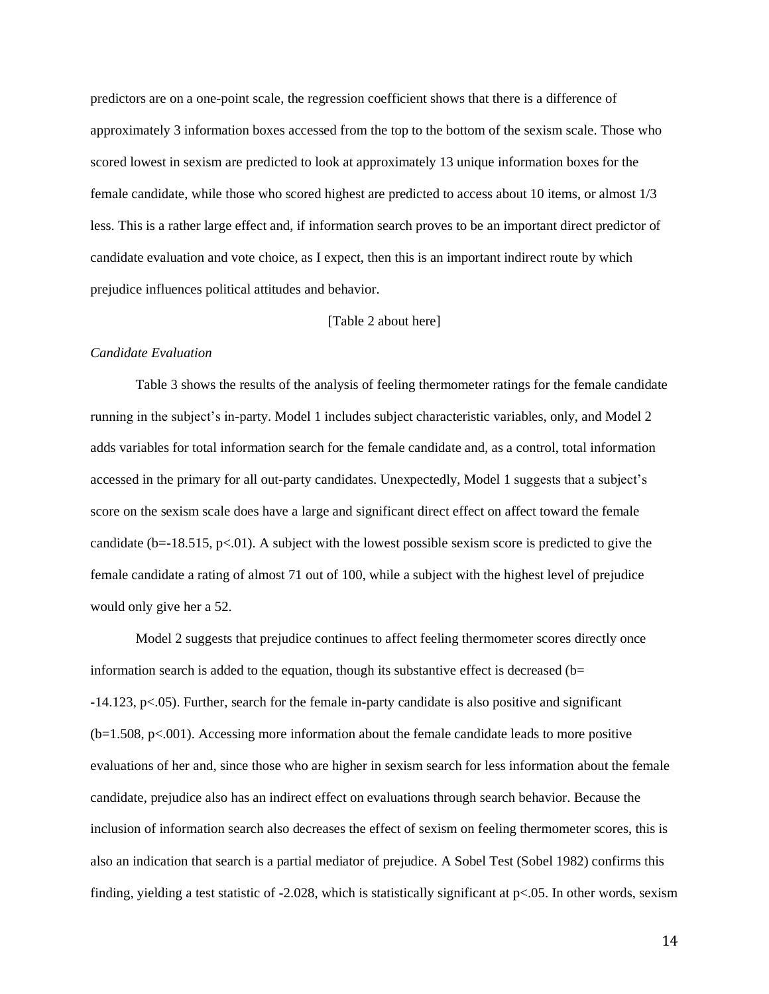predictors are on a one-point scale, the regression coefficient shows that there is a difference of approximately 3 information boxes accessed from the top to the bottom of the sexism scale. Those who scored lowest in sexism are predicted to look at approximately 13 unique information boxes for the female candidate, while those who scored highest are predicted to access about 10 items, or almost 1/3 less. This is a rather large effect and, if information search proves to be an important direct predictor of candidate evaluation and vote choice, as I expect, then this is an important indirect route by which prejudice influences political attitudes and behavior.

#### [Table 2 about here]

#### *Candidate Evaluation*

Table 3 shows the results of the analysis of feeling thermometer ratings for the female candidate running in the subject's in-party. Model 1 includes subject characteristic variables, only, and Model 2 adds variables for total information search for the female candidate and, as a control, total information accessed in the primary for all out-party candidates. Unexpectedly, Model 1 suggests that a subject's score on the sexism scale does have a large and significant direct effect on affect toward the female candidate ( $b=-18.515$ ,  $p<-01$ ). A subject with the lowest possible sexism score is predicted to give the female candidate a rating of almost 71 out of 100, while a subject with the highest level of prejudice would only give her a 52.

Model 2 suggests that prejudice continues to affect feeling thermometer scores directly once information search is added to the equation, though its substantive effect is decreased ( $b=$ -14.123, p<.05). Further, search for the female in-party candidate is also positive and significant  $(b=1.508, p<.001)$ . Accessing more information about the female candidate leads to more positive evaluations of her and, since those who are higher in sexism search for less information about the female candidate, prejudice also has an indirect effect on evaluations through search behavior. Because the inclusion of information search also decreases the effect of sexism on feeling thermometer scores, this is also an indication that search is a partial mediator of prejudice. A Sobel Test (Sobel 1982) confirms this finding, yielding a test statistic of  $-2.028$ , which is statistically significant at  $p<.05$ . In other words, sexism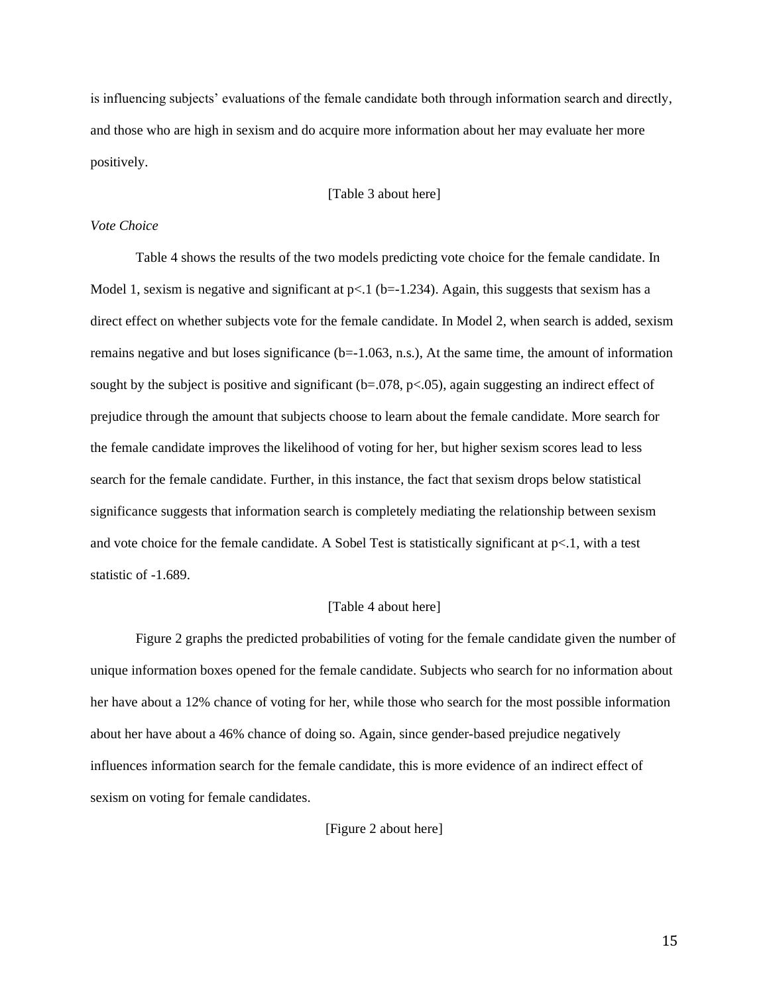is influencing subjects' evaluations of the female candidate both through information search and directly, and those who are high in sexism and do acquire more information about her may evaluate her more positively.

#### [Table 3 about here]

#### *Vote Choice*

Table 4 shows the results of the two models predicting vote choice for the female candidate. In Model 1, sexism is negative and significant at  $p<1$  (b=-1.234). Again, this suggests that sexism has a direct effect on whether subjects vote for the female candidate. In Model 2, when search is added, sexism remains negative and but loses significance  $(b=-1.063, n.s.)$ , At the same time, the amount of information sought by the subject is positive and significant ( $b = .078$ ,  $p < .05$ ), again suggesting an indirect effect of prejudice through the amount that subjects choose to learn about the female candidate. More search for the female candidate improves the likelihood of voting for her, but higher sexism scores lead to less search for the female candidate. Further, in this instance, the fact that sexism drops below statistical significance suggests that information search is completely mediating the relationship between sexism and vote choice for the female candidate. A Sobel Test is statistically significant at  $p<1$ , with a test statistic of -1.689.

#### [Table 4 about here]

Figure 2 graphs the predicted probabilities of voting for the female candidate given the number of unique information boxes opened for the female candidate. Subjects who search for no information about her have about a 12% chance of voting for her, while those who search for the most possible information about her have about a 46% chance of doing so. Again, since gender-based prejudice negatively influences information search for the female candidate, this is more evidence of an indirect effect of sexism on voting for female candidates.

[Figure 2 about here]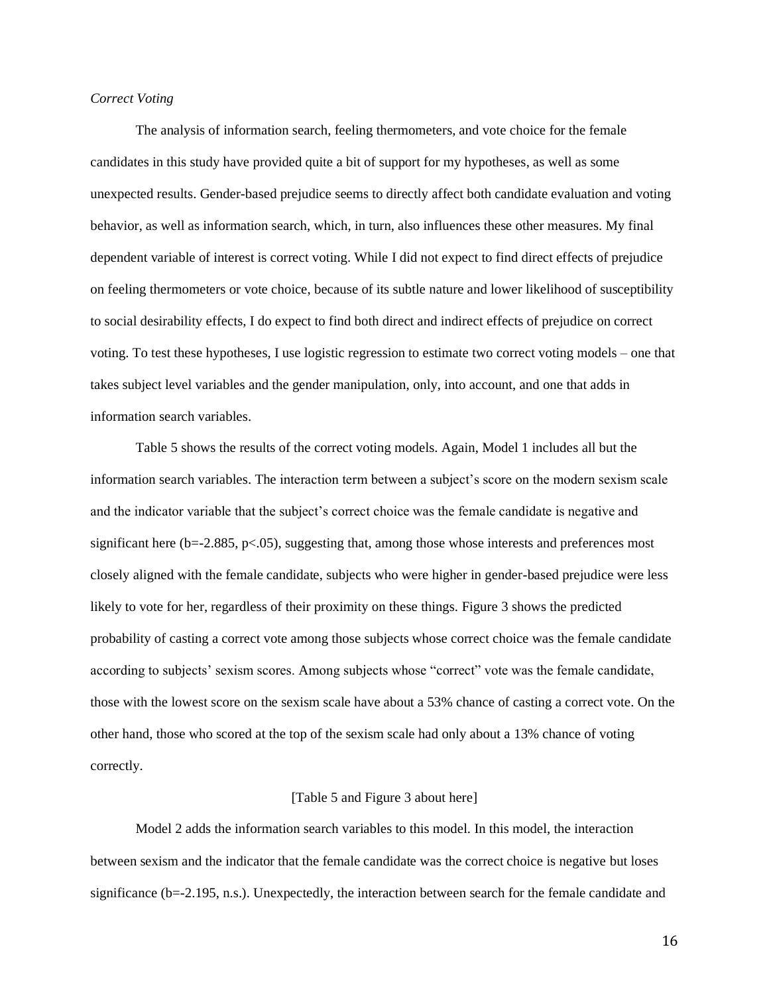#### *Correct Voting*

The analysis of information search, feeling thermometers, and vote choice for the female candidates in this study have provided quite a bit of support for my hypotheses, as well as some unexpected results. Gender-based prejudice seems to directly affect both candidate evaluation and voting behavior, as well as information search, which, in turn, also influences these other measures. My final dependent variable of interest is correct voting. While I did not expect to find direct effects of prejudice on feeling thermometers or vote choice, because of its subtle nature and lower likelihood of susceptibility to social desirability effects, I do expect to find both direct and indirect effects of prejudice on correct voting. To test these hypotheses, I use logistic regression to estimate two correct voting models – one that takes subject level variables and the gender manipulation, only, into account, and one that adds in information search variables.

Table 5 shows the results of the correct voting models. Again, Model 1 includes all but the information search variables. The interaction term between a subject's score on the modern sexism scale and the indicator variable that the subject's correct choice was the female candidate is negative and significant here (b=-2.885,  $p<0.05$ ), suggesting that, among those whose interests and preferences most closely aligned with the female candidate, subjects who were higher in gender-based prejudice were less likely to vote for her, regardless of their proximity on these things. Figure 3 shows the predicted probability of casting a correct vote among those subjects whose correct choice was the female candidate according to subjects' sexism scores. Among subjects whose "correct" vote was the female candidate, those with the lowest score on the sexism scale have about a 53% chance of casting a correct vote. On the other hand, those who scored at the top of the sexism scale had only about a 13% chance of voting correctly.

#### [Table 5 and Figure 3 about here]

Model 2 adds the information search variables to this model. In this model, the interaction between sexism and the indicator that the female candidate was the correct choice is negative but loses significance (b=-2.195, n.s.). Unexpectedly, the interaction between search for the female candidate and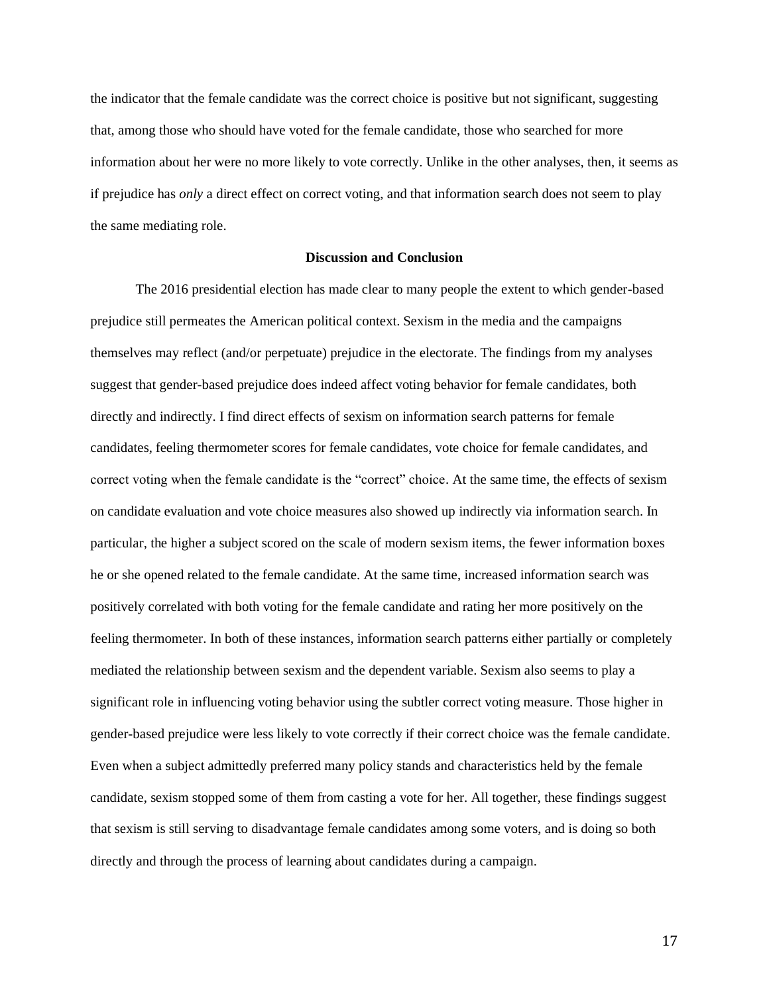the indicator that the female candidate was the correct choice is positive but not significant, suggesting that, among those who should have voted for the female candidate, those who searched for more information about her were no more likely to vote correctly. Unlike in the other analyses, then, it seems as if prejudice has *only* a direct effect on correct voting, and that information search does not seem to play the same mediating role.

#### **Discussion and Conclusion**

The 2016 presidential election has made clear to many people the extent to which gender-based prejudice still permeates the American political context. Sexism in the media and the campaigns themselves may reflect (and/or perpetuate) prejudice in the electorate. The findings from my analyses suggest that gender-based prejudice does indeed affect voting behavior for female candidates, both directly and indirectly. I find direct effects of sexism on information search patterns for female candidates, feeling thermometer scores for female candidates, vote choice for female candidates, and correct voting when the female candidate is the "correct" choice. At the same time, the effects of sexism on candidate evaluation and vote choice measures also showed up indirectly via information search. In particular, the higher a subject scored on the scale of modern sexism items, the fewer information boxes he or she opened related to the female candidate. At the same time, increased information search was positively correlated with both voting for the female candidate and rating her more positively on the feeling thermometer. In both of these instances, information search patterns either partially or completely mediated the relationship between sexism and the dependent variable. Sexism also seems to play a significant role in influencing voting behavior using the subtler correct voting measure. Those higher in gender-based prejudice were less likely to vote correctly if their correct choice was the female candidate. Even when a subject admittedly preferred many policy stands and characteristics held by the female candidate, sexism stopped some of them from casting a vote for her. All together, these findings suggest that sexism is still serving to disadvantage female candidates among some voters, and is doing so both directly and through the process of learning about candidates during a campaign.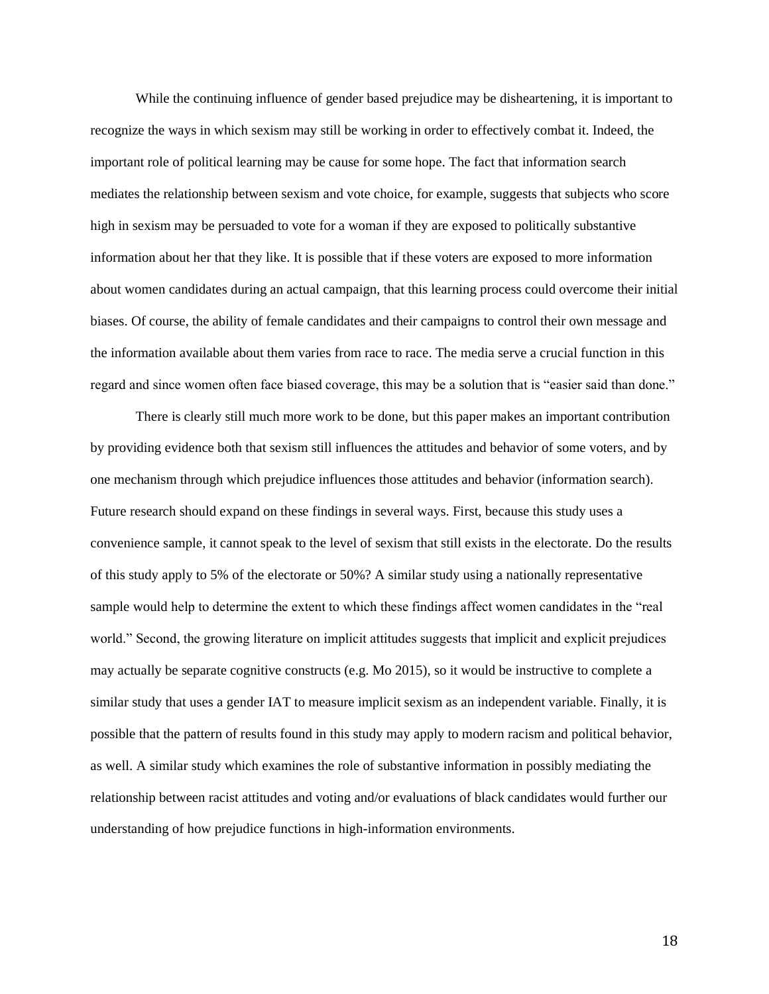While the continuing influence of gender based prejudice may be disheartening, it is important to recognize the ways in which sexism may still be working in order to effectively combat it. Indeed, the important role of political learning may be cause for some hope. The fact that information search mediates the relationship between sexism and vote choice, for example, suggests that subjects who score high in sexism may be persuaded to vote for a woman if they are exposed to politically substantive information about her that they like. It is possible that if these voters are exposed to more information about women candidates during an actual campaign, that this learning process could overcome their initial biases. Of course, the ability of female candidates and their campaigns to control their own message and the information available about them varies from race to race. The media serve a crucial function in this regard and since women often face biased coverage, this may be a solution that is "easier said than done."

There is clearly still much more work to be done, but this paper makes an important contribution by providing evidence both that sexism still influences the attitudes and behavior of some voters, and by one mechanism through which prejudice influences those attitudes and behavior (information search). Future research should expand on these findings in several ways. First, because this study uses a convenience sample, it cannot speak to the level of sexism that still exists in the electorate. Do the results of this study apply to 5% of the electorate or 50%? A similar study using a nationally representative sample would help to determine the extent to which these findings affect women candidates in the "real world." Second, the growing literature on implicit attitudes suggests that implicit and explicit prejudices may actually be separate cognitive constructs (e.g. Mo 2015), so it would be instructive to complete a similar study that uses a gender IAT to measure implicit sexism as an independent variable. Finally, it is possible that the pattern of results found in this study may apply to modern racism and political behavior, as well. A similar study which examines the role of substantive information in possibly mediating the relationship between racist attitudes and voting and/or evaluations of black candidates would further our understanding of how prejudice functions in high-information environments.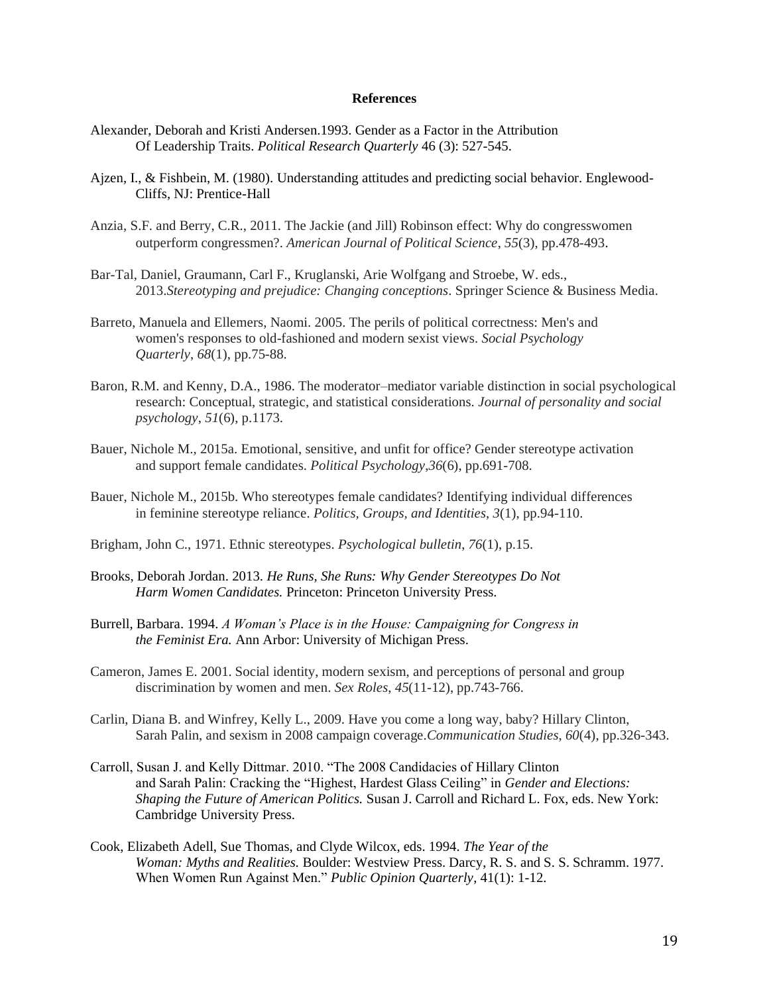#### **References**

- Alexander, Deborah and Kristi Andersen.1993. Gender as a Factor in the Attribution Of Leadership Traits. *Political Research Quarterly* 46 (3): 527-545.
- Ajzen, I., & Fishbein, M. (1980). Understanding attitudes and predicting social behavior. Englewood-Cliffs, NJ: Prentice-Hall
- Anzia, S.F. and Berry, C.R., 2011. The Jackie (and Jill) Robinson effect: Why do congresswomen outperform congressmen?. *American Journal of Political Science*, *55*(3), pp.478-493.
- Bar-Tal, Daniel, Graumann, Carl F., Kruglanski, Arie Wolfgang and Stroebe, W. eds., 2013.*Stereotyping and prejudice: Changing conceptions*. Springer Science & Business Media.
- Barreto, Manuela and Ellemers, Naomi. 2005. The perils of political correctness: Men's and women's responses to old-fashioned and modern sexist views. *Social Psychology Quarterly*, *68*(1), pp.75-88.
- Baron, R.M. and Kenny, D.A., 1986. The moderator–mediator variable distinction in social psychological research: Conceptual, strategic, and statistical considerations. *Journal of personality and social psychology*, *51*(6), p.1173.
- Bauer, Nichole M., 2015a. Emotional, sensitive, and unfit for office? Gender stereotype activation and support female candidates. *Political Psychology*,*36*(6), pp.691-708.
- Bauer, Nichole M., 2015b. Who stereotypes female candidates? Identifying individual differences in feminine stereotype reliance. *Politics, Groups, and Identities*, *3*(1), pp.94-110.
- Brigham, John C., 1971. Ethnic stereotypes. *Psychological bulletin*, *76*(1), p.15.
- Brooks, Deborah Jordan. 2013. *He Runs, She Runs: Why Gender Stereotypes Do Not Harm Women Candidates.* Princeton: Princeton University Press.
- Burrell, Barbara. 1994. *A Woman's Place is in the House: Campaigning for Congress in the Feminist Era.* Ann Arbor: University of Michigan Press.
- Cameron, James E. 2001. Social identity, modern sexism, and perceptions of personal and group discrimination by women and men. *Sex Roles*, *45*(11-12), pp.743-766.
- Carlin, Diana B. and Winfrey, Kelly L., 2009. Have you come a long way, baby? Hillary Clinton, Sarah Palin, and sexism in 2008 campaign coverage.*Communication Studies*, *60*(4), pp.326-343.
- Carroll, Susan J. and Kelly Dittmar. 2010. "The 2008 Candidacies of Hillary Clinton and Sarah Palin: Cracking the "Highest, Hardest Glass Ceiling" in *Gender and Elections: Shaping the Future of American Politics.* Susan J. Carroll and Richard L. Fox, eds. New York: Cambridge University Press.
- Cook, Elizabeth Adell, Sue Thomas, and Clyde Wilcox, eds. 1994. *The Year of the Woman: Myths and Realities.* Boulder: Westview Press. Darcy, R. S. and S. S. Schramm. 1977. When Women Run Against Men." *Public Opinion Quarterly*, 41(1): 1-12.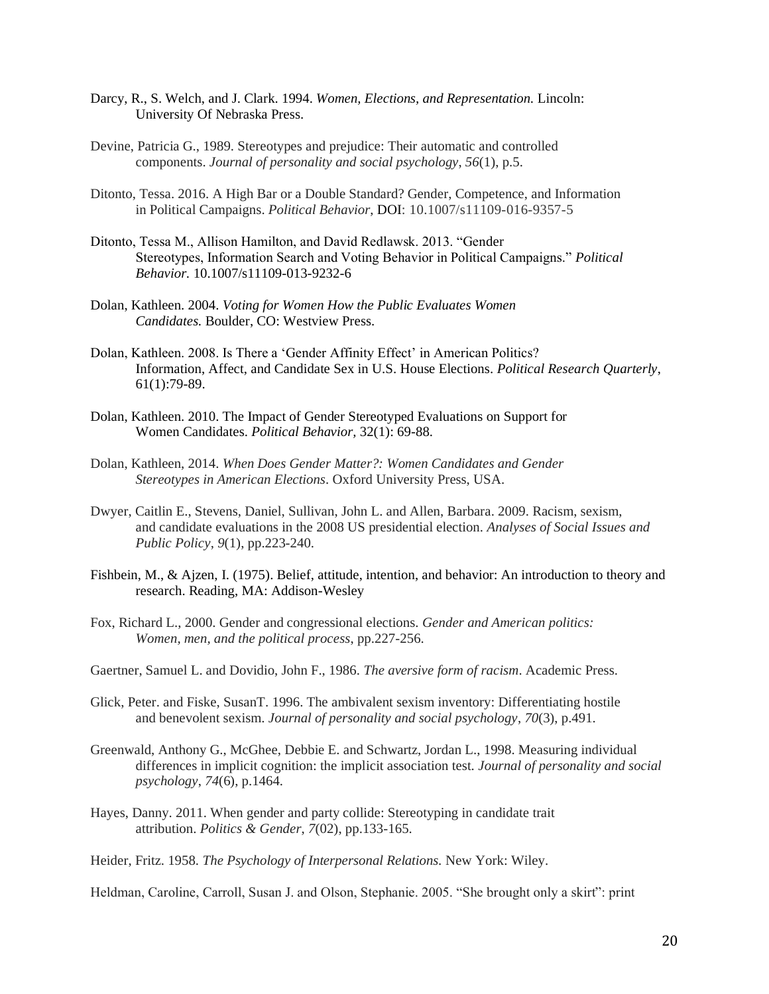- Darcy, R., S. Welch, and J. Clark. 1994. *Women, Elections, and Representation.* Lincoln: University Of Nebraska Press.
- Devine, Patricia G., 1989. Stereotypes and prejudice: Their automatic and controlled components. *Journal of personality and social psychology*, *56*(1), p.5.
- Ditonto, Tessa. 2016. A High Bar or a Double Standard? Gender, Competence, and Information in Political Campaigns. *Political Behavior*, DOI: 10.1007/s11109-016-9357-5
- Ditonto, Tessa M., Allison Hamilton, and David Redlawsk. 2013. "Gender Stereotypes, Information Search and Voting Behavior in Political Campaigns." *Political Behavior.* 10.1007/s11109-013-9232-6
- Dolan, Kathleen. 2004. *Voting for Women How the Public Evaluates Women Candidates.* Boulder, CO: Westview Press.
- Dolan, Kathleen. 2008. Is There a 'Gender Affinity Effect' in American Politics? Information, Affect, and Candidate Sex in U.S. House Elections. *Political Research Quarterly*, 61(1):79-89.
- Dolan, Kathleen. 2010. The Impact of Gender Stereotyped Evaluations on Support for Women Candidates. *Political Behavior,* 32(1): 69-88.
- Dolan, Kathleen, 2014. *When Does Gender Matter?: Women Candidates and Gender Stereotypes in American Elections*. Oxford University Press, USA.
- Dwyer, Caitlin E., Stevens, Daniel, Sullivan, John L. and Allen, Barbara. 2009. Racism, sexism, and candidate evaluations in the 2008 US presidential election. *Analyses of Social Issues and Public Policy*, *9*(1), pp.223-240.
- Fishbein, M., & Ajzen, I. (1975). Belief, attitude, intention, and behavior: An introduction to theory and research. Reading, MA: Addison-Wesley
- Fox, Richard L., 2000. Gender and congressional elections. *Gender and American politics: Women, men, and the political process*, pp.227-256.
- Gaertner, Samuel L. and Dovidio, John F., 1986. *The aversive form of racism*. Academic Press.
- Glick, Peter. and Fiske, SusanT. 1996. The ambivalent sexism inventory: Differentiating hostile and benevolent sexism. *Journal of personality and social psychology*, *70*(3), p.491.
- Greenwald, Anthony G., McGhee, Debbie E. and Schwartz, Jordan L., 1998. Measuring individual differences in implicit cognition: the implicit association test. *Journal of personality and social psychology*, *74*(6), p.1464.
- Hayes, Danny. 2011. When gender and party collide: Stereotyping in candidate trait attribution. *Politics & Gender*, *7*(02), pp.133-165.
- Heider, Fritz. 1958. *The Psychology of Interpersonal Relations.* New York: Wiley.

Heldman, Caroline, Carroll, Susan J. and Olson, Stephanie. 2005. "She brought only a skirt": print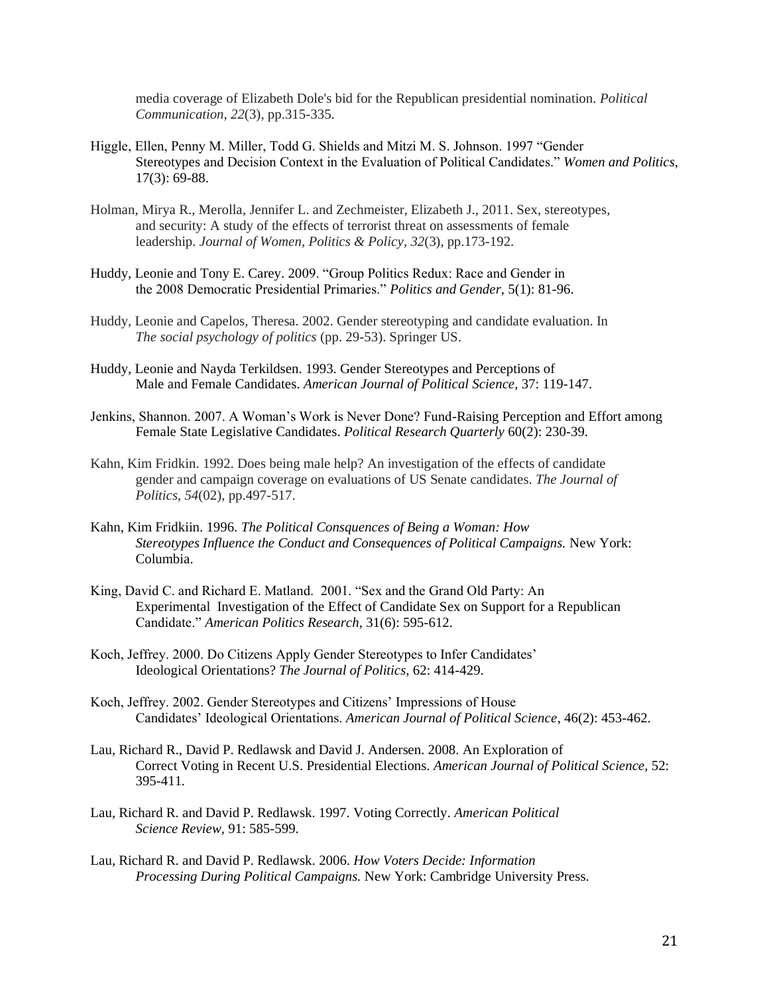media coverage of Elizabeth Dole's bid for the Republican presidential nomination. *Political Communication*, *22*(3), pp.315-335.

- Higgle, Ellen, Penny M. Miller, Todd G. Shields and Mitzi M. S. Johnson. 1997 "Gender Stereotypes and Decision Context in the Evaluation of Political Candidates." *Women and Politics*, 17(3): 69-88.
- Holman, Mirya R., Merolla, Jennifer L. and Zechmeister, Elizabeth J., 2011. Sex, stereotypes, and security: A study of the effects of terrorist threat on assessments of female leadership. *Journal of Women, Politics & Policy*, *32*(3), pp.173-192.
- Huddy, Leonie and Tony E. Carey. 2009. "Group Politics Redux: Race and Gender in the 2008 Democratic Presidential Primaries." *Politics and Gender,* 5(1): 81-96.
- Huddy, Leonie and Capelos, Theresa. 2002. Gender stereotyping and candidate evaluation. In *The social psychology of politics* (pp. 29-53). Springer US.
- Huddy, Leonie and Nayda Terkildsen. 1993. Gender Stereotypes and Perceptions of Male and Female Candidates. *American Journal of Political Science,* 37: 119-147.
- Jenkins, Shannon. 2007. A Woman's Work is Never Done? Fund-Raising Perception and Effort among Female State Legislative Candidates. *Political Research Quarterly* 60(2): 230-39.
- Kahn, Kim Fridkin. 1992. Does being male help? An investigation of the effects of candidate gender and campaign coverage on evaluations of US Senate candidates. *The Journal of Politics*, *54*(02), pp.497-517.
- Kahn, Kim Fridkiin. 1996. *The Political Consquences of Being a Woman: How Stereotypes Influence the Conduct and Consequences of Political Campaigns.* New York: Columbia.
- King, David C. and Richard E. Matland. 2001. "Sex and the Grand Old Party: An Experimental Investigation of the Effect of Candidate Sex on Support for a Republican Candidate." *American Politics Research*, 31(6): 595-612.
- Koch, Jeffrey. 2000. Do Citizens Apply Gender Stereotypes to Infer Candidates' Ideological Orientations? *The Journal of Politics,* 62: 414-429.
- Koch, Jeffrey. 2002. Gender Stereotypes and Citizens' Impressions of House Candidates' Ideological Orientations. *American Journal of Political Science*, 46(2): 453-462.
- Lau, Richard R., David P. Redlawsk and David J. Andersen. 2008. An Exploration of Correct Voting in Recent U.S. Presidential Elections. *American Journal of Political Science,* 52: 395-411*.*
- Lau, Richard R. and David P. Redlawsk. 1997. Voting Correctly. *American Political Science Review,* 91: 585-599.
- Lau, Richard R. and David P. Redlawsk. 2006. *How Voters Decide: Information Processing During Political Campaigns.* New York: Cambridge University Press.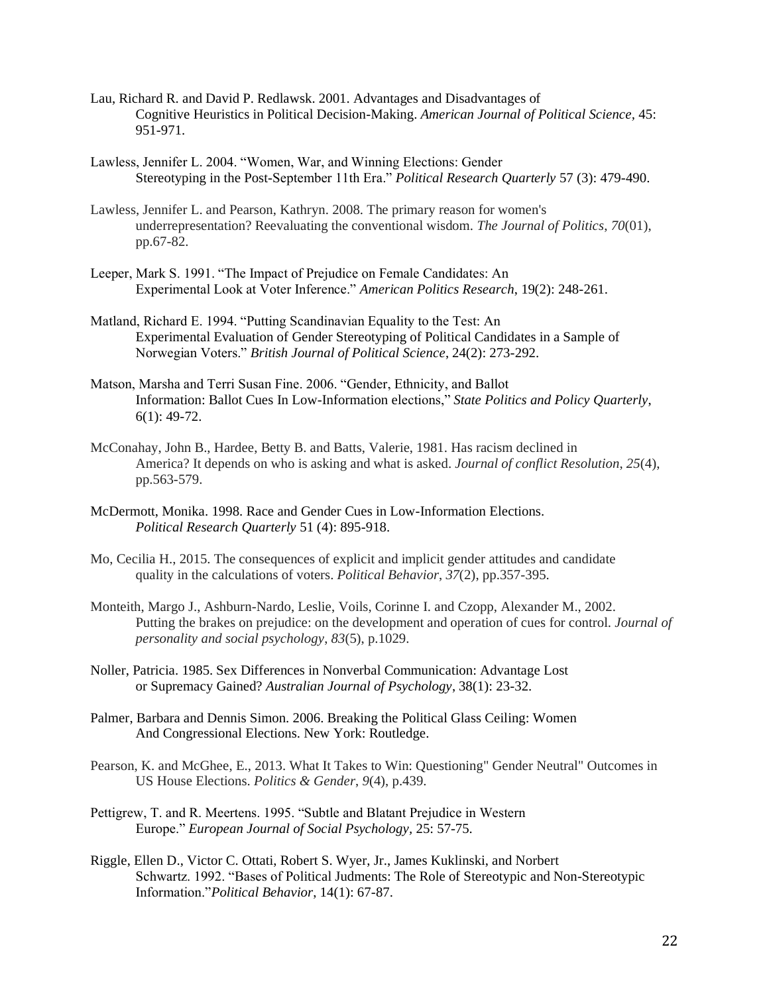- Lau, Richard R. and David P. Redlawsk. 2001. Advantages and Disadvantages of Cognitive Heuristics in Political Decision-Making. *American Journal of Political Science,* 45: 951-971.
- Lawless, Jennifer L. 2004. "Women, War, and Winning Elections: Gender Stereotyping in the Post-September 11th Era." *Political Research Quarterly* 57 (3): 479-490.
- Lawless, Jennifer L. and Pearson, Kathryn. 2008. The primary reason for women's underrepresentation? Reevaluating the conventional wisdom. *The Journal of Politics*, *70*(01), pp.67-82.
- Leeper, Mark S. 1991. "The Impact of Prejudice on Female Candidates: An Experimental Look at Voter Inference." *American Politics Research*, 19(2): 248-261.
- Matland, Richard E. 1994. "Putting Scandinavian Equality to the Test: An Experimental Evaluation of Gender Stereotyping of Political Candidates in a Sample of Norwegian Voters." *British Journal of Political Science*, 24(2): 273-292.
- Matson, Marsha and Terri Susan Fine. 2006. "Gender, Ethnicity, and Ballot Information: Ballot Cues In Low-Information elections," *State Politics and Policy Quarterly*, 6(1): 49-72.
- McConahay, John B., Hardee, Betty B. and Batts, Valerie, 1981. Has racism declined in America? It depends on who is asking and what is asked. *Journal of conflict Resolution*, *25*(4), pp.563-579.
- McDermott, Monika. 1998. Race and Gender Cues in Low-Information Elections. *Political Research Quarterly* 51 (4): 895-918.
- Mo, Cecilia H., 2015. The consequences of explicit and implicit gender attitudes and candidate quality in the calculations of voters. *Political Behavior*, *37*(2), pp.357-395.
- Monteith, Margo J., Ashburn-Nardo, Leslie, Voils, Corinne I. and Czopp, Alexander M., 2002. Putting the brakes on prejudice: on the development and operation of cues for control. *Journal of personality and social psychology*, *83*(5), p.1029.
- Noller, Patricia. 1985. Sex Differences in Nonverbal Communication: Advantage Lost or Supremacy Gained? *Australian Journal of Psychology*, 38(1): 23-32.
- Palmer, Barbara and Dennis Simon. 2006. Breaking the Political Glass Ceiling: Women And Congressional Elections. New York: Routledge.
- Pearson, K. and McGhee, E., 2013. What It Takes to Win: Questioning" Gender Neutral" Outcomes in US House Elections. *Politics & Gender*, *9*(4), p.439.
- Pettigrew, T. and R. Meertens. 1995. "Subtle and Blatant Prejudice in Western Europe." *European Journal of Social Psychology,* 25: 57-75.
- Riggle, Ellen D., Victor C. Ottati, Robert S. Wyer, Jr., James Kuklinski, and Norbert Schwartz. 1992. "Bases of Political Judments: The Role of Stereotypic and Non-Stereotypic Information."*Political Behavior*, 14(1): 67-87.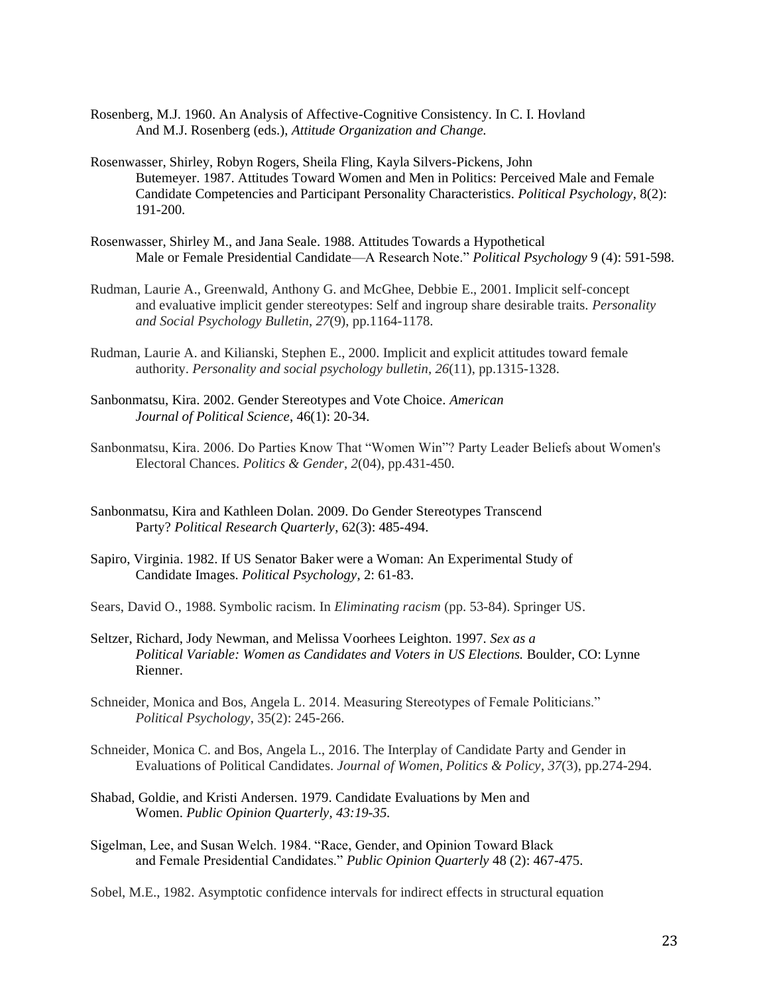- Rosenberg, M.J. 1960. An Analysis of Affective-Cognitive Consistency. In C. I. Hovland And M.J. Rosenberg (eds.), *Attitude Organization and Change.*
- Rosenwasser, Shirley, Robyn Rogers, Sheila Fling, Kayla Silvers-Pickens, John Butemeyer. 1987. Attitudes Toward Women and Men in Politics: Perceived Male and Female Candidate Competencies and Participant Personality Characteristics. *Political Psychology*, 8(2): 191-200.
- Rosenwasser, Shirley M., and Jana Seale. 1988. Attitudes Towards a Hypothetical Male or Female Presidential Candidate—A Research Note." *Political Psychology* 9 (4): 591-598.
- Rudman, Laurie A., Greenwald, Anthony G. and McGhee, Debbie E., 2001. Implicit self-concept and evaluative implicit gender stereotypes: Self and ingroup share desirable traits. *Personality and Social Psychology Bulletin*, *27*(9), pp.1164-1178.
- Rudman, Laurie A. and Kilianski, Stephen E., 2000. Implicit and explicit attitudes toward female authority. *Personality and social psychology bulletin*, *26*(11), pp.1315-1328.
- Sanbonmatsu, Kira. 2002. Gender Stereotypes and Vote Choice. *American Journal of Political Science*, 46(1): 20-34.
- Sanbonmatsu, Kira. 2006. Do Parties Know That "Women Win"? Party Leader Beliefs about Women's Electoral Chances. *Politics & Gender*, *2*(04), pp.431-450.
- Sanbonmatsu, Kira and Kathleen Dolan. 2009. Do Gender Stereotypes Transcend Party? *Political Research Quarterly*, 62(3): 485-494.
- Sapiro, Virginia. 1982. If US Senator Baker were a Woman: An Experimental Study of Candidate Images. *Political Psychology*, 2: 61-83.
- Sears, David O., 1988. Symbolic racism. In *Eliminating racism* (pp. 53-84). Springer US.
- Seltzer, Richard, Jody Newman, and Melissa Voorhees Leighton. 1997. *Sex as a Political Variable: Women as Candidates and Voters in US Elections.* Boulder, CO: Lynne Rienner.
- Schneider, Monica and Bos, Angela L. 2014. Measuring Stereotypes of Female Politicians." *Political Psychology*, 35(2): 245-266.
- Schneider, Monica C. and Bos, Angela L., 2016. The Interplay of Candidate Party and Gender in Evaluations of Political Candidates. *Journal of Women, Politics & Policy*, *37*(3), pp.274-294.
- Shabad, Goldie, and Kristi Andersen. 1979. Candidate Evaluations by Men and Women. *Public Opinion Quarterly, 43:19-35.*
- Sigelman, Lee, and Susan Welch. 1984. "Race, Gender, and Opinion Toward Black and Female Presidential Candidates." *Public Opinion Quarterly* 48 (2): 467-475.

Sobel, M.E., 1982. Asymptotic confidence intervals for indirect effects in structural equation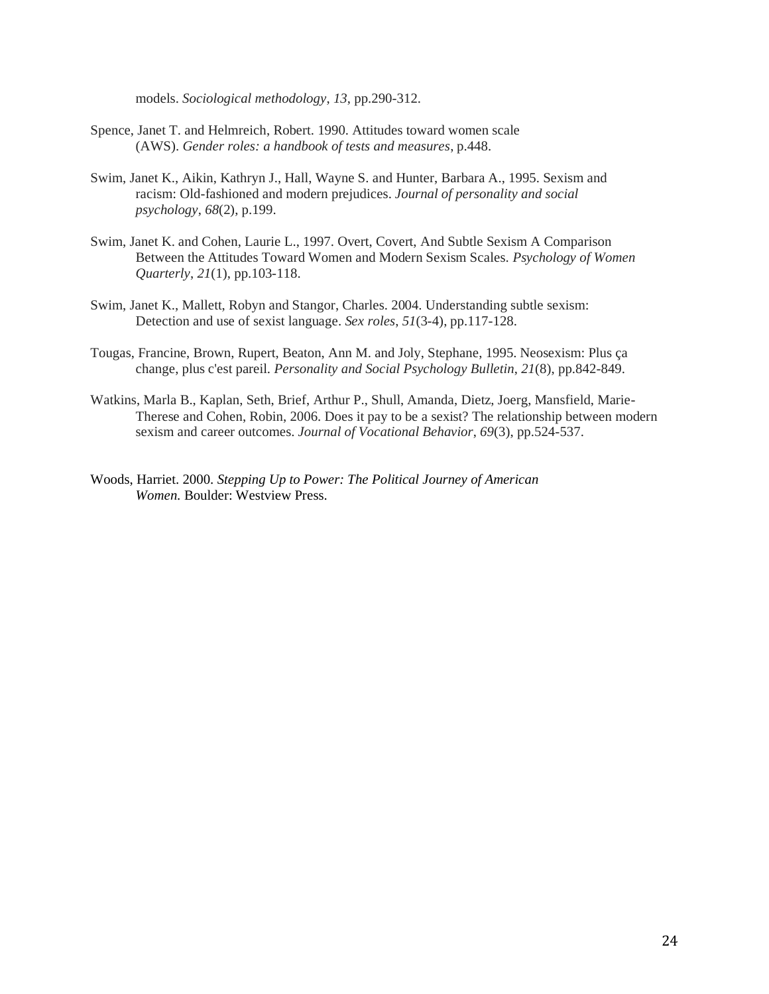models. *Sociological methodology*, *13*, pp.290-312.

- Spence, Janet T. and Helmreich, Robert. 1990. Attitudes toward women scale (AWS). *Gender roles: a handbook of tests and measures*, p.448.
- Swim, Janet K., Aikin, Kathryn J., Hall, Wayne S. and Hunter, Barbara A., 1995. Sexism and racism: Old-fashioned and modern prejudices. *Journal of personality and social psychology*, *68*(2), p.199.
- Swim, Janet K. and Cohen, Laurie L., 1997. Overt, Covert, And Subtle Sexism A Comparison Between the Attitudes Toward Women and Modern Sexism Scales. *Psychology of Women Quarterly*, *21*(1), pp.103-118.
- Swim, Janet K., Mallett, Robyn and Stangor, Charles. 2004. Understanding subtle sexism: Detection and use of sexist language. *Sex roles*, *51*(3-4), pp.117-128.
- Tougas, Francine, Brown, Rupert, Beaton, Ann M. and Joly, Stephane, 1995. Neosexism: Plus ça change, plus c'est pareil. *Personality and Social Psychology Bulletin*, *21*(8), pp.842-849.
- Watkins, Marla B., Kaplan, Seth, Brief, Arthur P., Shull, Amanda, Dietz, Joerg, Mansfield, Marie-Therese and Cohen, Robin, 2006. Does it pay to be a sexist? The relationship between modern sexism and career outcomes. *Journal of Vocational Behavior*, *69*(3), pp.524-537.
- Woods, Harriet. 2000. *Stepping Up to Power: The Political Journey of American Women.* Boulder: Westview Press.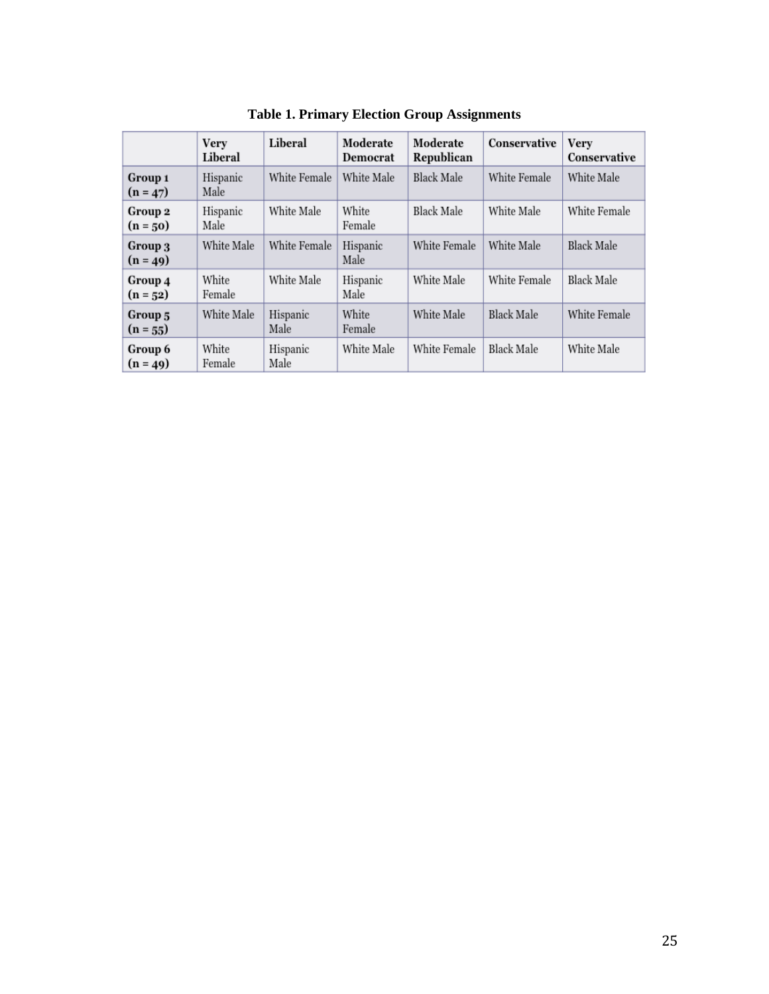|                       | <b>Very</b><br>Liberal | Liberal          | Moderate<br>Democrat | Moderate<br>Republican | Conservative      | <b>Very</b><br><b>Conservative</b> |
|-----------------------|------------------------|------------------|----------------------|------------------------|-------------------|------------------------------------|
| Group 1<br>$(n = 47)$ | Hispanic<br>Male       | White Female     | White Male           | <b>Black Male</b>      | White Female      | White Male                         |
| Group 2<br>$(n = 50)$ | Hispanic<br>Male       | White Male       | White<br>Female      | <b>Black Male</b>      | White Male        | White Female                       |
| Group 3<br>$(n = 49)$ | White Male             | White Female     | Hispanic<br>Male     | White Female           | White Male        | <b>Black Male</b>                  |
| Group 4<br>$(n = 52)$ | White<br>Female        | White Male       | Hispanic<br>Male     | White Male             | White Female      | <b>Black Male</b>                  |
| Group 5<br>$(n = 55)$ | White Male             | Hispanic<br>Male | White<br>Female      | White Male             | <b>Black Male</b> | White Female                       |
| Group 6<br>$(n = 49)$ | White<br>Female        | Hispanic<br>Male | White Male           | White Female           | <b>Black Male</b> | White Male                         |

**Table 1. Primary Election Group Assignments**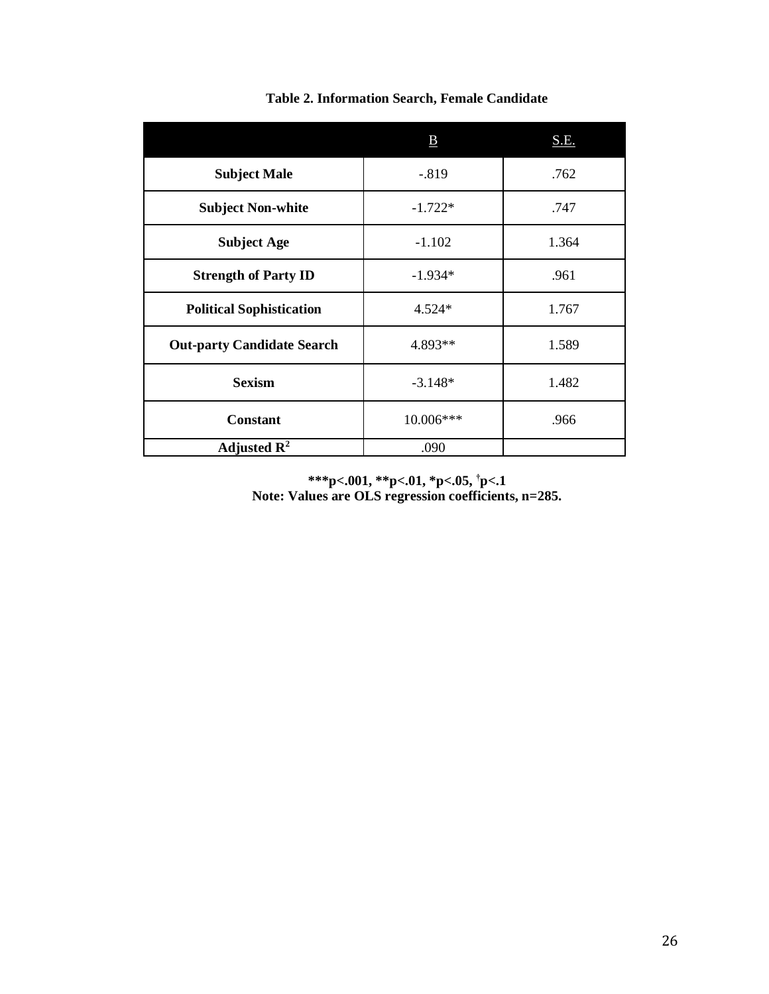|                                   | $\bf{B}$    | S.E.  |
|-----------------------------------|-------------|-------|
| <b>Subject Male</b>               | $-.819$     | .762  |
| <b>Subject Non-white</b>          | $-1.722*$   | .747  |
| <b>Subject Age</b>                | $-1.102$    | 1.364 |
| <b>Strength of Party ID</b>       | $-1.934*$   | .961  |
| <b>Political Sophistication</b>   | 4.524*      | 1.767 |
| <b>Out-party Candidate Search</b> | 4.893**     | 1.589 |
| <b>Sexism</b>                     | $-3.148*$   | 1.482 |
| <b>Constant</b>                   | $10.006***$ | .966  |
| Adjusted $\mathbb{R}^2$           | .090        |       |

**Table 2. Information Search, Female Candidate**

**\*\*\*p<.001, \*\*p<.01, \*p<.05, †p<.1 Note: Values are OLS regression coefficients, n=285.**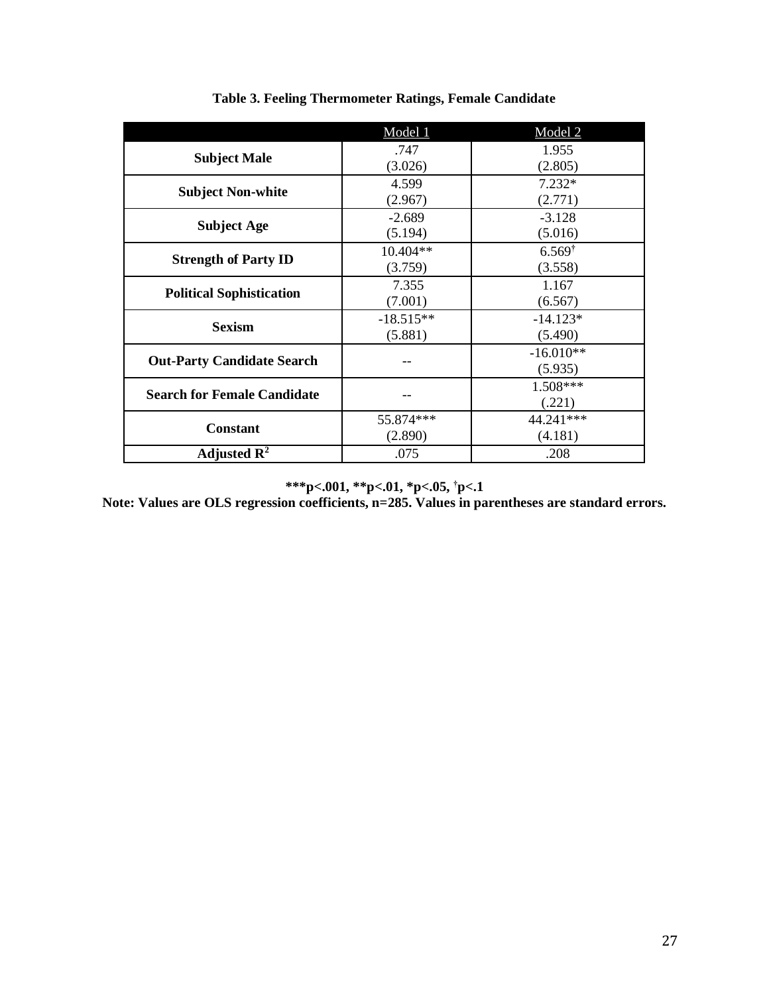|                                    | Model 1     | Model 2              |
|------------------------------------|-------------|----------------------|
| <b>Subject Male</b>                | .747        | 1.955                |
|                                    | (3.026)     | (2.805)              |
| <b>Subject Non-white</b>           | 4.599       | $7.232*$             |
|                                    | (2.967)     | (2.771)              |
| <b>Subject Age</b>                 | $-2.689$    | $-3.128$             |
|                                    | (5.194)     | (5.016)              |
|                                    | 10.404**    | $6.569$ <sup>†</sup> |
| <b>Strength of Party ID</b>        | (3.759)     | (3.558)              |
|                                    | 7.355       | 1.167                |
| <b>Political Sophistication</b>    | (7.001)     | (6.567)              |
| <b>Sexism</b>                      | $-18.515**$ | $-14.123*$           |
|                                    | (5.881)     | (5.490)              |
|                                    |             | $-16.010**$          |
| <b>Out-Party Candidate Search</b>  |             | (5.935)              |
| <b>Search for Female Candidate</b> |             | 1.508***             |
|                                    |             | (.221)               |
|                                    | 55.874***   | 44.241 ***           |
| <b>Constant</b>                    | (2.890)     | (4.181)              |
| Adjusted $\mathbb{R}^2$            | .075        | .208                 |

**Table 3. Feeling Thermometer Ratings, Female Candidate**

**Note: Values are OLS regression coefficients, n=285. Values in parentheses are standard errors.**

**<sup>\*\*\*</sup>p<.001, \*\*p<.01, \*p<.05, †p<.1**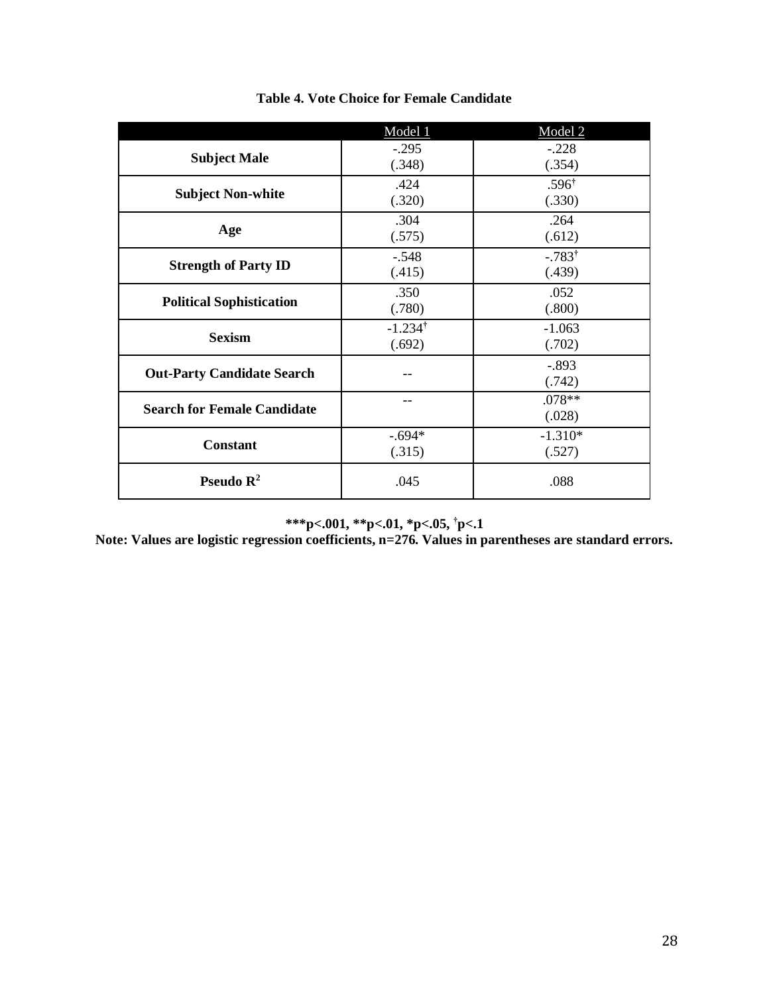|                                    | Model 1            | Model 2           |
|------------------------------------|--------------------|-------------------|
| <b>Subject Male</b>                | $-.295$            | $-.228$           |
|                                    | (.348)             | (.354)            |
| <b>Subject Non-white</b>           | .424               | $.596^{\dagger}$  |
|                                    | (.320)             | (.330)            |
|                                    | .304               | .264              |
| Age                                | (.575)             | (.612)            |
|                                    | $-.548$            | $-.783^{\dagger}$ |
| <b>Strength of Party ID</b>        | (.415)             | (.439)            |
|                                    | .350               | .052              |
| <b>Political Sophistication</b>    | (.780)             | (.800)            |
|                                    | $-1.234^{\dagger}$ | $-1.063$          |
| <b>Sexism</b>                      | (.692)             | (.702)            |
|                                    |                    | $-.893$           |
| <b>Out-Party Candidate Search</b>  |                    | (.742)            |
|                                    |                    | .078**            |
| <b>Search for Female Candidate</b> |                    | (.028)            |
|                                    | $-.694*$           | $-1.310*$         |
| <b>Constant</b>                    | (.315)             | (.527)            |
|                                    |                    |                   |
| Pseudo $\mathbb{R}^2$              | .045               | .088              |

**Table 4. Vote Choice for Female Candidate**

**\*\*\*p<.001, \*\*p<.01, \*p<.05, †p<.1**

**Note: Values are logistic regression coefficients, n=276. Values in parentheses are standard errors.**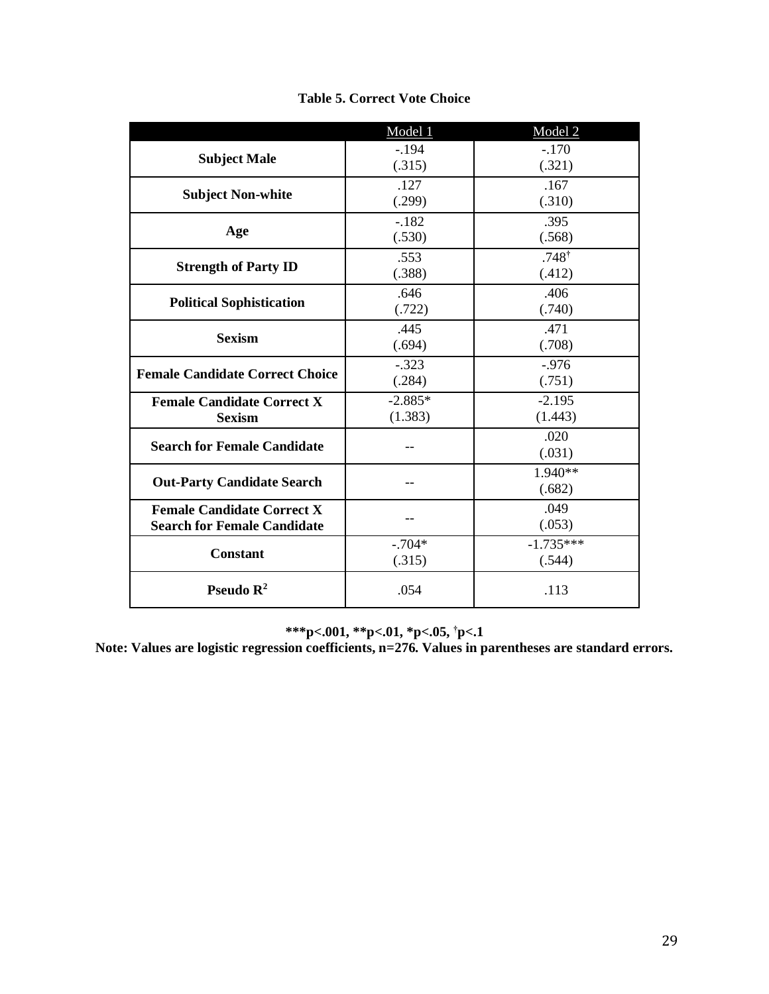|                                        | Model 1   | Model 2          |
|----------------------------------------|-----------|------------------|
|                                        | $-.194$   | $-.170$          |
| <b>Subject Male</b>                    | (.315)    | (.321)           |
|                                        | .127      | .167             |
| <b>Subject Non-white</b>               | (.299)    | (.310)           |
|                                        | $-.182$   | .395             |
| Age                                    | (.530)    | (.568)           |
| <b>Strength of Party ID</b>            | .553      | $.748^{\dagger}$ |
|                                        | (.388)    | (.412)           |
| <b>Political Sophistication</b>        | .646      | .406             |
|                                        | (.722)    | (.740)           |
| <b>Sexism</b>                          | .445      | .471             |
|                                        | (.694)    | (.708)           |
| <b>Female Candidate Correct Choice</b> | $-.323$   | $-.976$          |
|                                        | (.284)    | (.751)           |
| <b>Female Candidate Correct X</b>      | $-2.885*$ | $-2.195$         |
| <b>Sexism</b>                          | (1.383)   | (1.443)          |
| <b>Search for Female Candidate</b>     |           | .020             |
|                                        |           | (.031)           |
| <b>Out-Party Candidate Search</b>      |           | $1.940**$        |
|                                        |           | (.682)           |
| <b>Female Candidate Correct X</b>      |           | .049             |
| <b>Search for Female Candidate</b>     |           | (.053)           |
| <b>Constant</b>                        | $-.704*$  | $-1.735***$      |
|                                        | (.315)    | (.544)           |
| Pseudo $\mathbb{R}^2$                  | .054      | .113             |

**Table 5. Correct Vote Choice** 

**\*\*\*p<.001, \*\*p<.01, \*p<.05, †p<.1**

**Note: Values are logistic regression coefficients, n=276. Values in parentheses are standard errors.**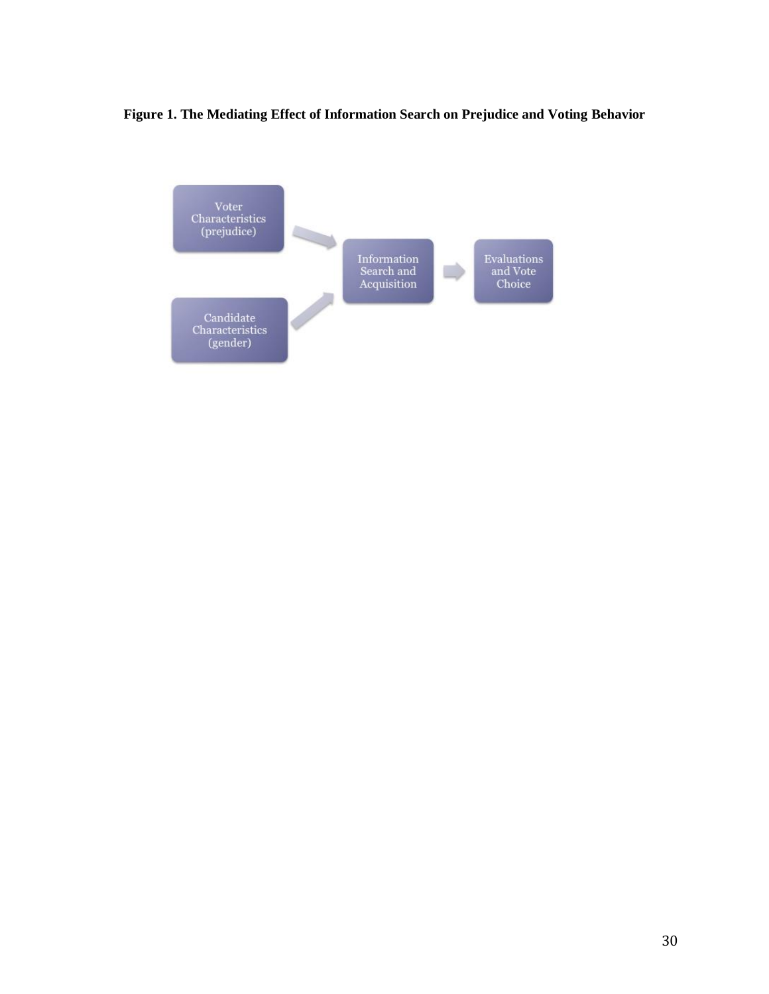**Figure 1. The Mediating Effect of Information Search on Prejudice and Voting Behavior**

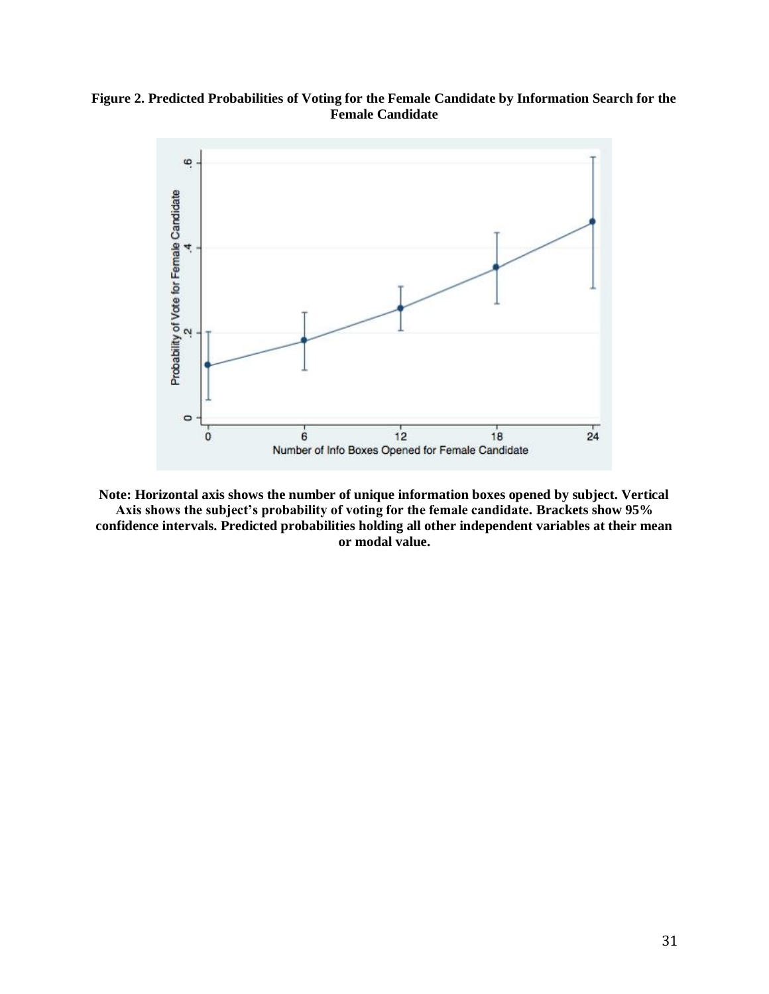### **Figure 2. Predicted Probabilities of Voting for the Female Candidate by Information Search for the Female Candidate**



**Note: Horizontal axis shows the number of unique information boxes opened by subject. Vertical Axis shows the subject's probability of voting for the female candidate. Brackets show 95% confidence intervals. Predicted probabilities holding all other independent variables at their mean or modal value.**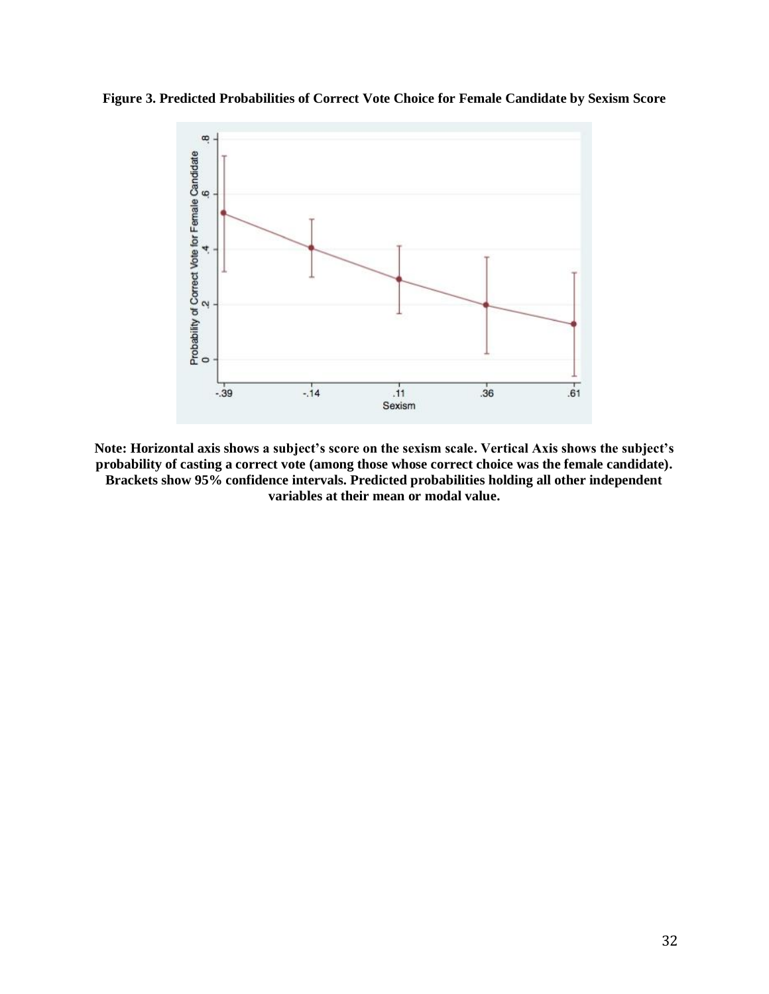



**Note: Horizontal axis shows a subject's score on the sexism scale. Vertical Axis shows the subject's probability of casting a correct vote (among those whose correct choice was the female candidate). Brackets show 95% confidence intervals. Predicted probabilities holding all other independent variables at their mean or modal value.**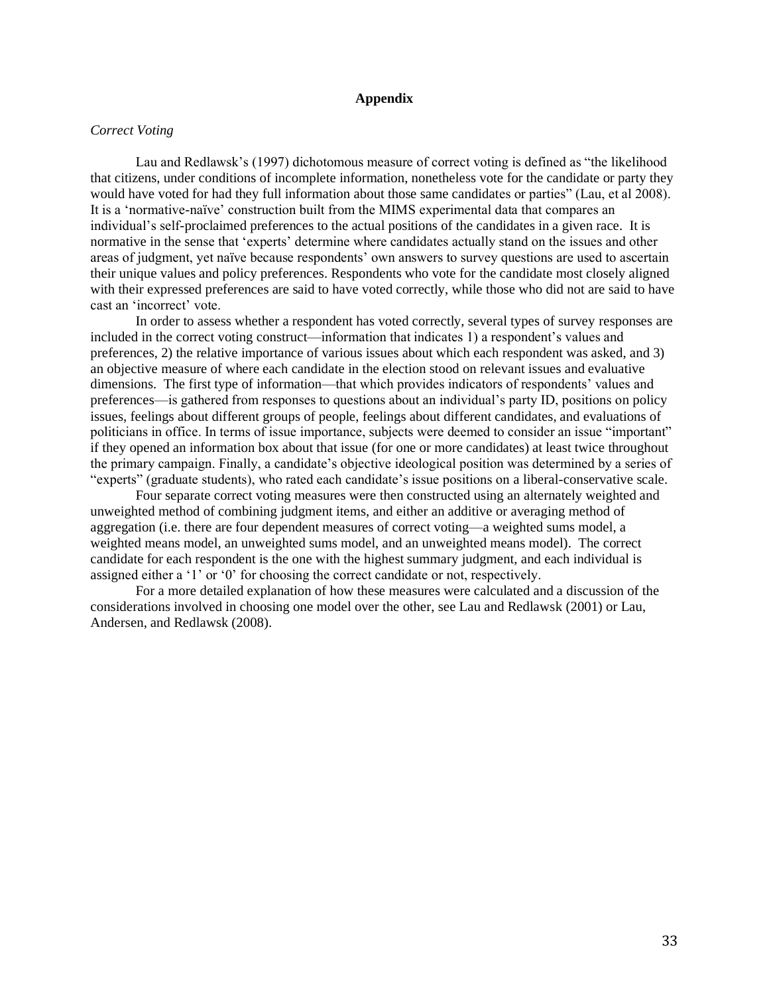#### **Appendix**

#### *Correct Voting*

Lau and Redlawsk's (1997) dichotomous measure of correct voting is defined as "the likelihood that citizens, under conditions of incomplete information, nonetheless vote for the candidate or party they would have voted for had they full information about those same candidates or parties" (Lau, et al 2008). It is a 'normative-naïve' construction built from the MIMS experimental data that compares an individual's self-proclaimed preferences to the actual positions of the candidates in a given race. It is normative in the sense that 'experts' determine where candidates actually stand on the issues and other areas of judgment, yet naïve because respondents' own answers to survey questions are used to ascertain their unique values and policy preferences. Respondents who vote for the candidate most closely aligned with their expressed preferences are said to have voted correctly, while those who did not are said to have cast an 'incorrect' vote.

In order to assess whether a respondent has voted correctly, several types of survey responses are included in the correct voting construct—information that indicates 1) a respondent's values and preferences, 2) the relative importance of various issues about which each respondent was asked, and 3) an objective measure of where each candidate in the election stood on relevant issues and evaluative dimensions. The first type of information—that which provides indicators of respondents' values and preferences—is gathered from responses to questions about an individual's party ID, positions on policy issues, feelings about different groups of people, feelings about different candidates, and evaluations of politicians in office. In terms of issue importance, subjects were deemed to consider an issue "important" if they opened an information box about that issue (for one or more candidates) at least twice throughout the primary campaign. Finally, a candidate's objective ideological position was determined by a series of "experts" (graduate students), who rated each candidate's issue positions on a liberal-conservative scale.

Four separate correct voting measures were then constructed using an alternately weighted and unweighted method of combining judgment items, and either an additive or averaging method of aggregation (i.e. there are four dependent measures of correct voting—a weighted sums model, a weighted means model, an unweighted sums model, and an unweighted means model). The correct candidate for each respondent is the one with the highest summary judgment, and each individual is assigned either a '1' or '0' for choosing the correct candidate or not, respectively.

For a more detailed explanation of how these measures were calculated and a discussion of the considerations involved in choosing one model over the other, see Lau and Redlawsk (2001) or Lau, Andersen, and Redlawsk (2008).